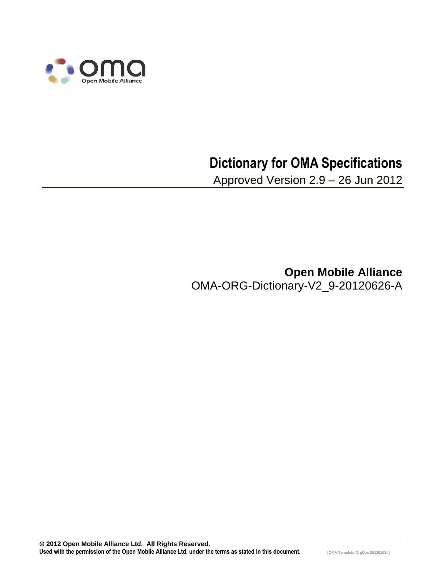

# **Dictionary for OMA Specifications**

Approved Version 2.9 – 26 Jun 2012

**Open Mobile Alliance** OMA-ORG-Dictionary-V2\_9-20120626-A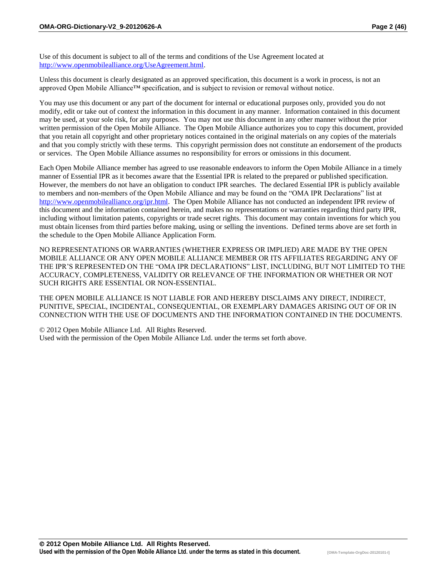Use of this document is subject to all of the terms and conditions of the Use Agreement located at [http://www.openmobilealliance.org/UseAgreement.html.](http://www.openmobilealliance.org/UseAgreement.html)

Unless this document is clearly designated as an approved specification, this document is a work in process, is not an approved Open Mobile Alliance™ specification, and is subject to revision or removal without notice.

You may use this document or any part of the document for internal or educational purposes only, provided you do not modify, edit or take out of context the information in this document in any manner. Information contained in this document may be used, at your sole risk, for any purposes. You may not use this document in any other manner without the prior written permission of the Open Mobile Alliance. The Open Mobile Alliance authorizes you to copy this document, provided that you retain all copyright and other proprietary notices contained in the original materials on any copies of the materials and that you comply strictly with these terms. This copyright permission does not constitute an endorsement of the products or services. The Open Mobile Alliance assumes no responsibility for errors or omissions in this document.

Each Open Mobile Alliance member has agreed to use reasonable endeavors to inform the Open Mobile Alliance in a timely manner of Essential IPR as it becomes aware that the Essential IPR is related to the prepared or published specification. However, the members do not have an obligation to conduct IPR searches. The declared Essential IPR is publicly available to members and non-members of the Open Mobile Alliance and may be found on the "OMA IPR Declarations" list at [http://www.openmobilealliance.org/ipr.html.](http://www.openmobilealliance.org/ipr.html) The Open Mobile Alliance has not conducted an independent IPR review of this document and the information contained herein, and makes no representations or warranties regarding third party IPR, including without limitation patents, copyrights or trade secret rights. This document may contain inventions for which you must obtain licenses from third parties before making, using or selling the inventions. Defined terms above are set forth in the schedule to the Open Mobile Alliance Application Form.

NO REPRESENTATIONS OR WARRANTIES (WHETHER EXPRESS OR IMPLIED) ARE MADE BY THE OPEN MOBILE ALLIANCE OR ANY OPEN MOBILE ALLIANCE MEMBER OR ITS AFFILIATES REGARDING ANY OF THE IPR'S REPRESENTED ON THE "OMA IPR DECLARATIONS" LIST, INCLUDING, BUT NOT LIMITED TO THE ACCURACY, COMPLETENESS, VALIDITY OR RELEVANCE OF THE INFORMATION OR WHETHER OR NOT SUCH RIGHTS ARE ESSENTIAL OR NON-ESSENTIAL.

THE OPEN MOBILE ALLIANCE IS NOT LIABLE FOR AND HEREBY DISCLAIMS ANY DIRECT, INDIRECT, PUNITIVE, SPECIAL, INCIDENTAL, CONSEQUENTIAL, OR EXEMPLARY DAMAGES ARISING OUT OF OR IN CONNECTION WITH THE USE OF DOCUMENTS AND THE INFORMATION CONTAINED IN THE DOCUMENTS.

© 2012 Open Mobile Alliance Ltd. All Rights Reserved. Used with the permission of the Open Mobile Alliance Ltd. under the terms set forth above.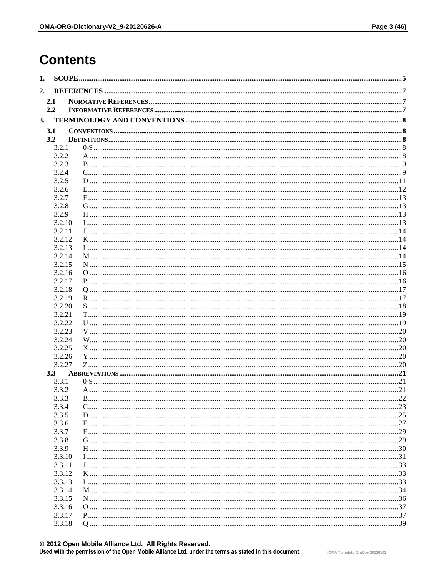### **Contents**

| 1. |                  |    |
|----|------------------|----|
| 2. |                  |    |
|    | 2.1              |    |
|    | 2.2              |    |
| 3. |                  |    |
|    | 3.1              |    |
|    | 3.2              |    |
|    | 3.2.1            |    |
|    | 3.2.2            |    |
|    | 3.2.3            |    |
|    | 3.2.4            |    |
|    | 3.2.5            |    |
|    | 3.2.6            |    |
|    | 3.2.7            |    |
|    | 3.2.8            |    |
|    | 3.2.9            |    |
|    | 3.2.10           |    |
|    | 3.2.11           |    |
|    | 3.2.12           |    |
|    | 3.2.13           |    |
|    | 3.2.14           |    |
|    | 3.2.15<br>3.2.16 |    |
|    | 3.2.17           |    |
|    | 3.2.18           |    |
|    | 3.2.19           |    |
|    | 3.2.20           |    |
|    | 3.2.21           |    |
|    | 3.2.22           |    |
|    | 3.2.23           |    |
|    | 3.2.24           |    |
|    | 3.2.25           |    |
|    | 3.2.26           |    |
|    | 3.2.27           |    |
|    | 3.3              |    |
|    | 3.3.1            |    |
|    | 3.3.2            |    |
|    | 3.3.3            | 22 |
|    | 3.3.4            |    |
|    | 3.3.5            |    |
|    | 3.3.6            |    |
|    | 3.3.7            |    |
|    | 3.3.8            |    |
|    | 3.3.9            |    |
|    | 3.3.10           |    |
|    | 3.3.11<br>3.3.12 |    |
|    | 3.3.13           |    |
|    | 3.3.14           |    |
|    | 3.3.15           |    |
|    | 3.3.16           |    |
|    | 3.3.17           |    |
|    | 3.3.18           |    |
|    |                  |    |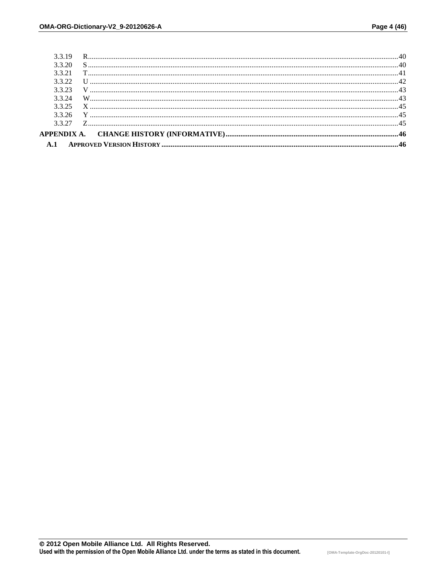| 3 3 2 7 |  |
|---------|--|
| 3.3.26  |  |
| 3.3.25  |  |
| 3.3.24  |  |
| 3.3.23  |  |
| 3.3.22  |  |
| 3.3.21  |  |
| 3.3.20  |  |
| 3.3.19  |  |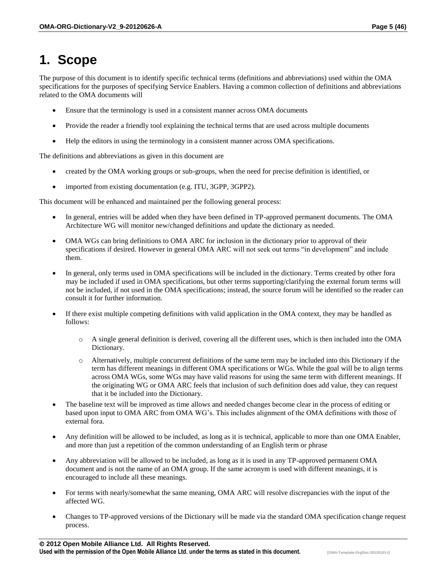## **1. Scope**

The purpose of this document is to identify specific technical terms (definitions and abbreviations) used within the OMA specifications for the purposes of specifying Service Enablers. Having a common collection of definitions and abbreviations related to the OMA documents will

- Ensure that the terminology is used in a consistent manner across OMA documents
- Provide the reader a friendly tool explaining the technical terms that are used across multiple documents
- Help the editors in using the terminology in a consistent manner across OMA specifications.

The definitions and abbreviations as given in this document are

- created by the OMA working groups or sub-groups, when the need for precise definition is identified, or
- imported from existing documentation (e.g. ITU, 3GPP, 3GPP2).

This document will be enhanced and maintained per the following general process:

- In general, entries will be added when they have been defined in TP-approved permanent documents. The OMA Architecture WG will monitor new/changed definitions and update the dictionary as needed.
- OMA WGs can bring definitions to OMA ARC for inclusion in the dictionary prior to approval of their specifications if desired. However in general OMA ARC will not seek out terms "in development" and include them.
- In general, only terms used in OMA specifications will be included in the dictionary. Terms created by other fora may be included if used in OMA specifications, but other terms supporting/clarifying the external forum terms will not be included, if not used in the OMA specifications; instead, the source forum will be identified so the reader can consult it for further information.
- If there exist multiple competing definitions with valid application in the OMA context, they may be handled as follows:
	- o A single general definition is derived, covering all the different uses, which is then included into the OMA Dictionary.
	- o Alternatively, multiple concurrent definitions of the same term may be included into this Dictionary if the term has different meanings in different OMA specifications or WGs. While the goal will be to align terms across OMA WGs, some WGs may have valid reasons for using the same term with different meanings. If the originating WG or OMA ARC feels that inclusion of such definition does add value, they can request that it be included into the Dictionary.
- The baseline text will be improved as time allows and needed changes become clear in the process of editing or based upon input to OMA ARC from OMA WG's. This includes alignment of the OMA definitions with those of external fora.
- Any definition will be allowed to be included, as long as it is technical, applicable to more than one OMA Enabler, and more than just a repetition of the common understanding of an English term or phrase
- Any abbreviation will be allowed to be included, as long as it is used in any TP-approved permanent OMA document and is not the name of an OMA group. If the same acronym is used with different meanings, it is encouraged to include all these meanings.
- For terms with nearly/somewhat the same meaning, OMA ARC will resolve discrepancies with the input of the affected WG.
- Changes to TP-approved versions of the Dictionary will be made via the standard OMA specification change request process.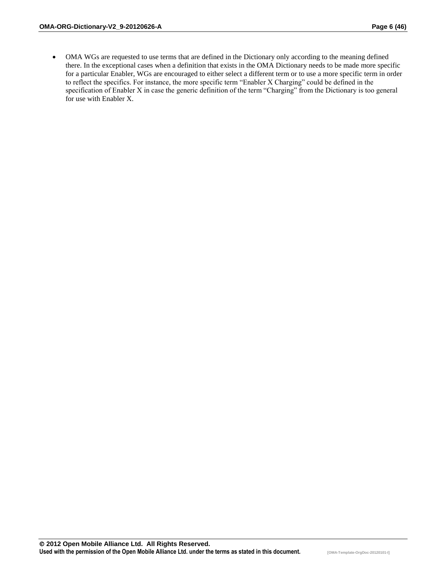OMA WGs are requested to use terms that are defined in the Dictionary only according to the meaning defined there. In the exceptional cases when a definition that exists in the OMA Dictionary needs to be made more specific for a particular Enabler, WGs are encouraged to either select a different term or to use a more specific term in order to reflect the specifics. For instance, the more specific term "Enabler X Charging" could be defined in the specification of Enabler X in case the generic definition of the term "Charging" from the Dictionary is too general for use with Enabler X.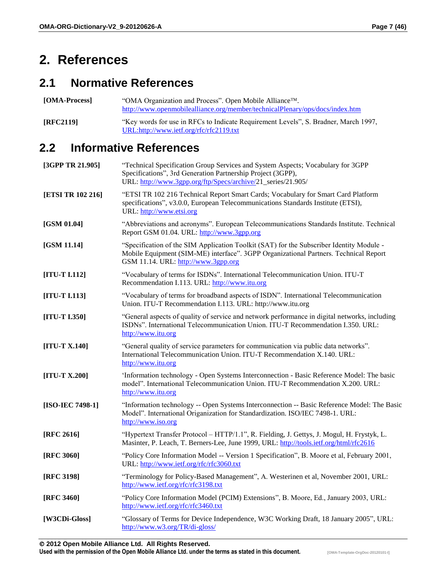### **2. References**

#### **2.1 Normative References**

[OMA-Process] "OMA Organization and Process". Open Mobile Alliance<sup>™</sup>. <http://www.openmobilealliance.org/member/technicalPlenary/ops/docs/index.htm>

**[RFC2119]** "Key words for use in RFCs to Indicate Requirement Levels", S. Bradner, March 1997, [URL:http://www.ietf.org/rfc/rfc2119.txt](http://www.ietf.org/rfc/rfc2119.txt)

#### **2.2 Informative References**

| [3GPP TR 21.905]  | "Technical Specification Group Services and System Aspects; Vocabulary for 3GPP<br>Specifications", 3rd Generation Partnership Project (3GPP),<br>URL: http://www.3gpp.org/ftp/Specs/archive/21_series/21.905/          |
|-------------------|-------------------------------------------------------------------------------------------------------------------------------------------------------------------------------------------------------------------------|
| [ETSI TR 102 216] | "ETSI TR 102 216 Technical Report Smart Cards; Vocabulary for Smart Card Platform<br>specifications", v3.0.0, European Telecommunications Standards Institute (ETSI),<br>URL: http://www.etsi.org                       |
| [GSM 01.04]       | "Abbreviations and acronyms". European Telecommunications Standards Institute. Technical<br>Report GSM 01.04. URL: http://www.3gpp.org                                                                                  |
| [GSM 11.14]       | "Specification of the SIM Application Toolkit (SAT) for the Subscriber Identity Module -<br>Mobile Equipment (SIM-ME) interface". 3GPP Organizational Partners. Technical Report<br>GSM 11.14. URL: http://www.3gpp.org |
| $[ITU-T I.112]$   | "Vocabulary of terms for ISDNs". International Telecommunication Union. ITU-T<br>Recommendation I.113. URL: http://www.itu.org                                                                                          |
| $[ITU-T L113]$    | "Vocabulary of terms for broadband aspects of ISDN". International Telecommunication<br>Union. ITU-T Recommendation I.113. URL: http://www.itu.org                                                                      |
| $[ITU-T L350]$    | "General aspects of quality of service and network performance in digital networks, including<br>ISDNs". International Telecommunication Union. ITU-T Recommendation I.350. URL:<br>http://www.itu.org                  |
| $[ITU-T X.140]$   | "General quality of service parameters for communication via public data networks".<br>International Telecommunication Union. ITU-T Recommendation X.140. URL:<br>http://www.itu.org                                    |
| [ITU-T $X.200$ ]  | 'Information technology - Open Systems Interconnection - Basic Reference Model: The basic<br>model". International Telecommunication Union. ITU-T Recommendation X.200. URL:<br>http://www.itu.org                      |
| [ISO-IEC 7498-1]  | "Information technology -- Open Systems Interconnection -- Basic Reference Model: The Basic<br>Model". International Origanization for Standardization. ISO/IEC 7498-1. URL:<br>http://www.iso.org                      |
| [RFC 2616]        | "Hypertext Transfer Protocol - HTTP/1.1", R. Fielding, J. Gettys, J. Mogul, H. Frystyk, L.<br>Masinter, P. Leach, T. Berners-Lee, June 1999, URL: http://tools.ietf.org/html/rfc2616                                    |
| [RFC 3060]        | "Policy Core Information Model -- Version 1 Specification", B. Moore et al, February 2001,<br>URL: http://www.ietf.org/rfc/rfc3060.txt                                                                                  |
| [RFC 3198]        | "Terminology for Policy-Based Management", A. Westerinen et al, November 2001, URL:<br>http://www.ietf.org/rfc/rfc3198.txt                                                                                              |
| [RFC 3460]        | "Policy Core Information Model (PCIM) Extensions", B. Moore, Ed., January 2003, URL:<br>http://www.ietf.org/rfc/rfc3460.txt                                                                                             |
| [W3CDi-Gloss]     | "Glossary of Terms for Device Independence, W3C Working Draft, 18 January 2005", URL:<br>http://www.w3.org/TR/di-gloss/                                                                                                 |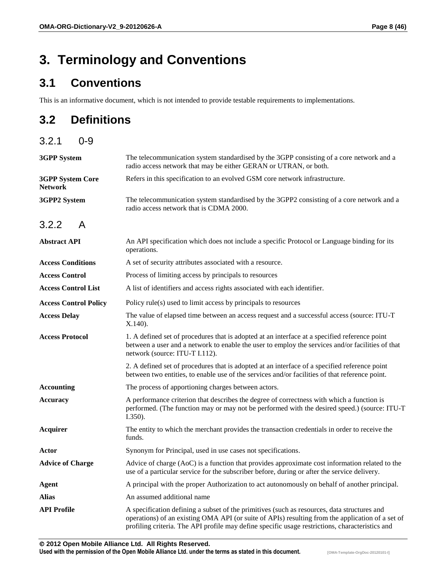## **3. Terminology and Conventions**

#### **3.1 Conventions**

This is an informative document, which is not intended to provide testable requirements to implementations.

#### **3.2 Definitions**

| 3.2.1<br>$0 - 9$                          |                                                                                                                                                                                                                                                                                                    |
|-------------------------------------------|----------------------------------------------------------------------------------------------------------------------------------------------------------------------------------------------------------------------------------------------------------------------------------------------------|
| <b>3GPP</b> System                        | The telecommunication system standardised by the 3GPP consisting of a core network and a<br>radio access network that may be either GERAN or UTRAN, or both.                                                                                                                                       |
| <b>3GPP System Core</b><br><b>Network</b> | Refers in this specification to an evolved GSM core network infrastructure.                                                                                                                                                                                                                        |
| 3GPP2 System                              | The telecommunication system standardised by the 3GPP2 consisting of a core network and a<br>radio access network that is CDMA 2000.                                                                                                                                                               |
| 3.2.2<br>A                                |                                                                                                                                                                                                                                                                                                    |
| <b>Abstract API</b>                       | An API specification which does not include a specific Protocol or Language binding for its<br>operations.                                                                                                                                                                                         |
| <b>Access Conditions</b>                  | A set of security attributes associated with a resource.                                                                                                                                                                                                                                           |
| <b>Access Control</b>                     | Process of limiting access by principals to resources                                                                                                                                                                                                                                              |
| <b>Access Control List</b>                | A list of identifiers and access rights associated with each identifier.                                                                                                                                                                                                                           |
| <b>Access Control Policy</b>              | Policy rule(s) used to limit access by principals to resources                                                                                                                                                                                                                                     |
| <b>Access Delay</b>                       | The value of elapsed time between an access request and a successful access (source: ITU-T<br>X.140.                                                                                                                                                                                               |
| <b>Access Protocol</b>                    | 1. A defined set of procedures that is adopted at an interface at a specified reference point<br>between a user and a network to enable the user to employ the services and/or facilities of that<br>network (source: ITU-T I.112).                                                                |
|                                           | 2. A defined set of procedures that is adopted at an interface of a specified reference point<br>between two entities, to enable use of the services and/or facilities of that reference point.                                                                                                    |
| <b>Accounting</b>                         | The process of apportioning charges between actors.                                                                                                                                                                                                                                                |
| <b>Accuracy</b>                           | A performance criterion that describes the degree of correctness with which a function is<br>performed. (The function may or may not be performed with the desired speed.) (source: ITU-T<br>$1.350$ ).                                                                                            |
| <b>Acquirer</b>                           | The entity to which the merchant provides the transaction credentials in order to receive the<br>funds.                                                                                                                                                                                            |
| Actor                                     | Synonym for Principal, used in use cases not specifications.                                                                                                                                                                                                                                       |
| <b>Advice of Charge</b>                   | Advice of charge (AoC) is a function that provides approximate cost information related to the<br>use of a particular service for the subscriber before, during or after the service delivery.                                                                                                     |
| <b>Agent</b>                              | A principal with the proper Authorization to act autonomously on behalf of another principal.                                                                                                                                                                                                      |
| <b>Alias</b>                              | An assumed additional name                                                                                                                                                                                                                                                                         |
| <b>API Profile</b>                        | A specification defining a subset of the primitives (such as resources, data structures and<br>operations) of an existing OMA API (or suite of APIs) resulting from the application of a set of<br>profiling criteria. The API profile may define specific usage restrictions, characteristics and |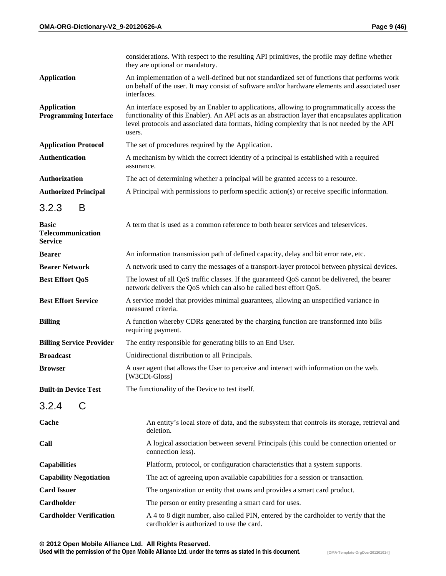|                                                            | considerations. With respect to the resulting API primitives, the profile may define whether<br>they are optional or mandatory.                                                                                                                                                                            |
|------------------------------------------------------------|------------------------------------------------------------------------------------------------------------------------------------------------------------------------------------------------------------------------------------------------------------------------------------------------------------|
| <b>Application</b>                                         | An implementation of a well-defined but not standardized set of functions that performs work<br>on behalf of the user. It may consist of software and/or hardware elements and associated user<br>interfaces.                                                                                              |
| <b>Application</b><br><b>Programming Interface</b>         | An interface exposed by an Enabler to applications, allowing to programmatically access the<br>functionality of this Enabler). An API acts as an abstraction layer that encapsulates application<br>level protocols and associated data formats, hiding complexity that is not needed by the API<br>users. |
| <b>Application Protocol</b>                                | The set of procedures required by the Application.                                                                                                                                                                                                                                                         |
| <b>Authentication</b>                                      | A mechanism by which the correct identity of a principal is established with a required<br>assurance.                                                                                                                                                                                                      |
| <b>Authorization</b>                                       | The act of determining whether a principal will be granted access to a resource.                                                                                                                                                                                                                           |
| <b>Authorized Principal</b>                                | A Principal with permissions to perform specific action(s) or receive specific information.                                                                                                                                                                                                                |
| 3.2.3<br>B                                                 |                                                                                                                                                                                                                                                                                                            |
| <b>Basic</b><br><b>Telecommunication</b><br><b>Service</b> | A term that is used as a common reference to both bearer services and teleservices.                                                                                                                                                                                                                        |
| <b>Bearer</b>                                              | An information transmission path of defined capacity, delay and bit error rate, etc.                                                                                                                                                                                                                       |
| <b>Bearer Network</b>                                      | A network used to carry the messages of a transport-layer protocol between physical devices.                                                                                                                                                                                                               |
| <b>Best Effort QoS</b>                                     | The lowest of all QoS traffic classes. If the guaranteed QoS cannot be delivered, the bearer<br>network delivers the QoS which can also be called best effort QoS.                                                                                                                                         |
| <b>Best Effort Service</b>                                 | A service model that provides minimal guarantees, allowing an unspecified variance in<br>measured criteria.                                                                                                                                                                                                |
| <b>Billing</b>                                             | A function whereby CDRs generated by the charging function are transformed into bills<br>requiring payment.                                                                                                                                                                                                |
| <b>Billing Service Provider</b>                            | The entity responsible for generating bills to an End User.                                                                                                                                                                                                                                                |
| <b>Broadcast</b>                                           | Unidirectional distribution to all Principals.                                                                                                                                                                                                                                                             |
| <b>Browser</b>                                             | A user agent that allows the User to perceive and interact with information on the web.<br>[W3CDi-Gloss]                                                                                                                                                                                                   |
| <b>Built-in Device Test</b>                                | The functionality of the Device to test itself.                                                                                                                                                                                                                                                            |
| 3.2.4<br>C                                                 |                                                                                                                                                                                                                                                                                                            |
| Cache                                                      | An entity's local store of data, and the subsystem that controls its storage, retrieval and<br>deletion.                                                                                                                                                                                                   |
| Call                                                       | A logical association between several Principals (this could be connection oriented or<br>connection less).                                                                                                                                                                                                |
| <b>Capabilities</b>                                        | Platform, protocol, or configuration characteristics that a system supports.                                                                                                                                                                                                                               |
| <b>Capability Negotiation</b>                              | The act of agreeing upon available capabilities for a session or transaction.                                                                                                                                                                                                                              |
| <b>Card Issuer</b>                                         | The organization or entity that owns and provides a smart card product.                                                                                                                                                                                                                                    |
| Cardholder                                                 | The person or entity presenting a smart card for uses.                                                                                                                                                                                                                                                     |
| <b>Cardholder Verification</b>                             | A 4 to 8 digit number, also called PIN, entered by the cardholder to verify that the<br>cardholder is authorized to use the card.                                                                                                                                                                          |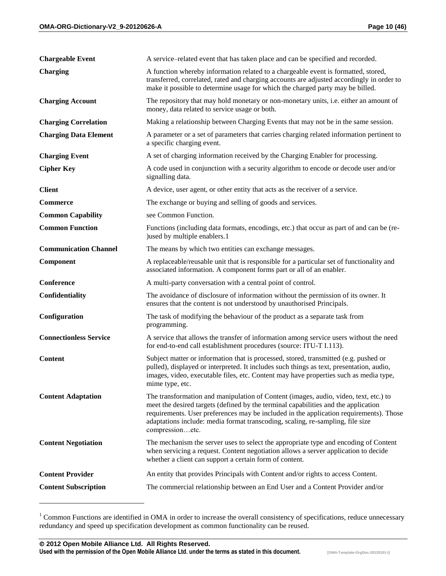| <b>Chargeable Event</b>       | A service-related event that has taken place and can be specified and recorded.                                                                                                                                                                                                                                                                                           |
|-------------------------------|---------------------------------------------------------------------------------------------------------------------------------------------------------------------------------------------------------------------------------------------------------------------------------------------------------------------------------------------------------------------------|
| <b>Charging</b>               | A function whereby information related to a chargeable event is formatted, stored,<br>transferred, correlated, rated and charging accounts are adjusted accordingly in order to<br>make it possible to determine usage for which the charged party may be billed.                                                                                                         |
| <b>Charging Account</b>       | The repository that may hold monetary or non-monetary units, i.e. either an amount of<br>money, data related to service usage or both.                                                                                                                                                                                                                                    |
| <b>Charging Correlation</b>   | Making a relationship between Charging Events that may not be in the same session.                                                                                                                                                                                                                                                                                        |
| <b>Charging Data Element</b>  | A parameter or a set of parameters that carries charging related information pertinent to<br>a specific charging event.                                                                                                                                                                                                                                                   |
| <b>Charging Event</b>         | A set of charging information received by the Charging Enabler for processing.                                                                                                                                                                                                                                                                                            |
| <b>Cipher Key</b>             | A code used in conjunction with a security algorithm to encode or decode user and/or<br>signalling data.                                                                                                                                                                                                                                                                  |
| <b>Client</b>                 | A device, user agent, or other entity that acts as the receiver of a service.                                                                                                                                                                                                                                                                                             |
| <b>Commerce</b>               | The exchange or buying and selling of goods and services.                                                                                                                                                                                                                                                                                                                 |
| <b>Common Capability</b>      | see Common Function.                                                                                                                                                                                                                                                                                                                                                      |
| <b>Common Function</b>        | Functions (including data formats, encodings, etc.) that occur as part of and can be (re-<br>) used by multiple enablers.1                                                                                                                                                                                                                                                |
| <b>Communication Channel</b>  | The means by which two entities can exchange messages.                                                                                                                                                                                                                                                                                                                    |
| Component                     | A replaceable/reusable unit that is responsible for a particular set of functionality and<br>associated information. A component forms part or all of an enabler.                                                                                                                                                                                                         |
|                               |                                                                                                                                                                                                                                                                                                                                                                           |
| Conference                    | A multi-party conversation with a central point of control.                                                                                                                                                                                                                                                                                                               |
| Confidentiality               | The avoidance of disclosure of information without the permission of its owner. It<br>ensures that the content is not understood by unauthorised Principals.                                                                                                                                                                                                              |
| Configuration                 | The task of modifying the behaviour of the product as a separate task from<br>programming.                                                                                                                                                                                                                                                                                |
| <b>Connectionless Service</b> | A service that allows the transfer of information among service users without the need<br>for end-to-end call establishment procedures (source: ITU-T I.113).                                                                                                                                                                                                             |
| <b>Content</b>                | Subject matter or information that is processed, stored, transmitted (e.g. pushed or<br>pulled), displayed or interpreted. It includes such things as text, presentation, audio,<br>images, video, executable files, etc. Content may have properties such as media type,<br>mime type, etc.                                                                              |
| <b>Content Adaptation</b>     | The transformation and manipulation of Content (images, audio, video, text, etc.) to<br>meet the desired targets (defined by the terminal capabilities and the application<br>requirements. User preferences may be included in the application requirements). Those<br>adaptations include: media format transcoding, scaling, re-sampling, file size<br>compressionetc. |
| <b>Content Negotiation</b>    | The mechanism the server uses to select the appropriate type and encoding of Content<br>when servicing a request. Content negotiation allows a server application to decide<br>whether a client can support a certain form of content.                                                                                                                                    |
| <b>Content Provider</b>       | An entity that provides Principals with Content and/or rights to access Content.                                                                                                                                                                                                                                                                                          |

<sup>&</sup>lt;sup>1</sup> Common Functions are identified in OMA in order to increase the overall consistency of specifications, reduce unnecessary redundancy and speed up specification development as common functionality can be reused.

 $\overline{a}$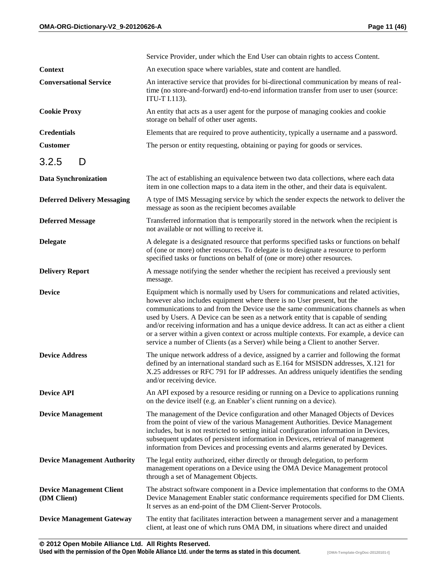|                                                | Service Provider, under which the End User can obtain rights to access Content.                                                                                                                                                                                                                                                                                                                                                                                                                                                                                                                                              |
|------------------------------------------------|------------------------------------------------------------------------------------------------------------------------------------------------------------------------------------------------------------------------------------------------------------------------------------------------------------------------------------------------------------------------------------------------------------------------------------------------------------------------------------------------------------------------------------------------------------------------------------------------------------------------------|
| <b>Context</b>                                 | An execution space where variables, state and content are handled.                                                                                                                                                                                                                                                                                                                                                                                                                                                                                                                                                           |
| <b>Conversational Service</b>                  | An interactive service that provides for bi-directional communication by means of real-<br>time (no store-and-forward) end-to-end information transfer from user to user (source:<br>ITU-T I.113).                                                                                                                                                                                                                                                                                                                                                                                                                           |
| <b>Cookie Proxy</b>                            | An entity that acts as a user agent for the purpose of managing cookies and cookie<br>storage on behalf of other user agents.                                                                                                                                                                                                                                                                                                                                                                                                                                                                                                |
| <b>Credentials</b>                             | Elements that are required to prove authenticity, typically a username and a password.                                                                                                                                                                                                                                                                                                                                                                                                                                                                                                                                       |
| <b>Customer</b>                                | The person or entity requesting, obtaining or paying for goods or services.                                                                                                                                                                                                                                                                                                                                                                                                                                                                                                                                                  |
| 3.2.5<br>D                                     |                                                                                                                                                                                                                                                                                                                                                                                                                                                                                                                                                                                                                              |
| Data Synchronization                           | The act of establishing an equivalence between two data collections, where each data<br>item in one collection maps to a data item in the other, and their data is equivalent.                                                                                                                                                                                                                                                                                                                                                                                                                                               |
| <b>Deferred Delivery Messaging</b>             | A type of IMS Messaging service by which the sender expects the network to deliver the<br>message as soon as the recipient becomes available                                                                                                                                                                                                                                                                                                                                                                                                                                                                                 |
| <b>Deferred Message</b>                        | Transferred information that is temporarily stored in the network when the recipient is<br>not available or not willing to receive it.                                                                                                                                                                                                                                                                                                                                                                                                                                                                                       |
| <b>Delegate</b>                                | A delegate is a designated resource that performs specified tasks or functions on behalf<br>of (one or more) other resources. To delegate is to designate a resource to perform<br>specified tasks or functions on behalf of (one or more) other resources.                                                                                                                                                                                                                                                                                                                                                                  |
| <b>Delivery Report</b>                         | A message notifying the sender whether the recipient has received a previously sent<br>message.                                                                                                                                                                                                                                                                                                                                                                                                                                                                                                                              |
| <b>Device</b>                                  | Equipment which is normally used by Users for communications and related activities,<br>however also includes equipment where there is no User present, but the<br>communications to and from the Device use the same communications channels as when<br>used by Users. A Device can be seen as a network entity that is capable of sending<br>and/or receiving information and has a unique device address. It can act as either a client<br>or a server within a given context or across multiple contexts. For example, a device can<br>service a number of Clients (as a Server) while being a Client to another Server. |
| <b>Device Address</b>                          | The unique network address of a device, assigned by a carrier and following the format<br>defined by an international standard such as E.164 for MSISDN addresses, X.121 for<br>X.25 addresses or RFC 791 for IP addresses. An address uniquely identifies the sending<br>and/or receiving device.                                                                                                                                                                                                                                                                                                                           |
| <b>Device API</b>                              | An API exposed by a resource residing or running on a Device to applications running<br>on the device itself (e.g. an Enabler's client running on a device).                                                                                                                                                                                                                                                                                                                                                                                                                                                                 |
| <b>Device Management</b>                       | The management of the Device configuration and other Managed Objects of Devices<br>from the point of view of the various Management Authorities. Device Management<br>includes, but is not restricted to setting initial configuration information in Devices,<br>subsequent updates of persistent information in Devices, retrieval of management<br>information from Devices and processing events and alarms generated by Devices.                                                                                                                                                                                        |
| <b>Device Management Authority</b>             | The legal entity authorized, either directly or through delegation, to perform<br>management operations on a Device using the OMA Device Management protocol<br>through a set of Management Objects.                                                                                                                                                                                                                                                                                                                                                                                                                         |
| <b>Device Management Client</b><br>(DM Client) | The abstract software component in a Device implementation that conforms to the OMA<br>Device Management Enabler static conformance requirements specified for DM Clients.<br>It serves as an end-point of the DM Client-Server Protocols.                                                                                                                                                                                                                                                                                                                                                                                   |
| <b>Device Management Gateway</b>               | The entity that facilitates interaction between a management server and a management<br>client, at least one of which runs OMA DM, in situations where direct and unaided                                                                                                                                                                                                                                                                                                                                                                                                                                                    |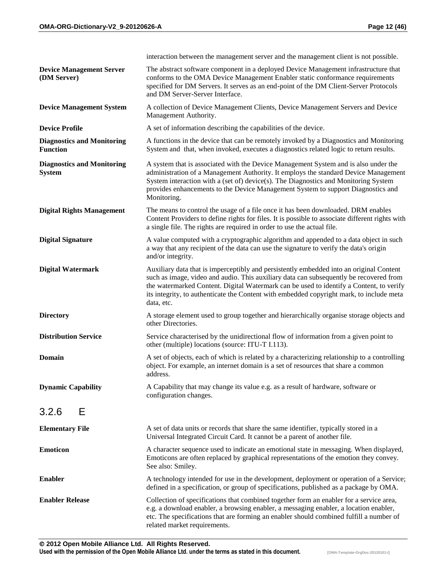|                                                      | interaction between the management server and the management client is not possible.                                                                                                                                                                                                                                                                                                   |
|------------------------------------------------------|----------------------------------------------------------------------------------------------------------------------------------------------------------------------------------------------------------------------------------------------------------------------------------------------------------------------------------------------------------------------------------------|
| <b>Device Management Server</b><br>(DM Server)       | The abstract software component in a deployed Device Management infrastructure that<br>conforms to the OMA Device Management Enabler static conformance requirements<br>specified for DM Servers. It serves as an end-point of the DM Client-Server Protocols<br>and DM Server-Server Interface.                                                                                       |
| <b>Device Management System</b>                      | A collection of Device Management Clients, Device Management Servers and Device<br>Management Authority.                                                                                                                                                                                                                                                                               |
| <b>Device Profile</b>                                | A set of information describing the capabilities of the device.                                                                                                                                                                                                                                                                                                                        |
| <b>Diagnostics and Monitoring</b><br><b>Function</b> | A functions in the device that can be remotely invoked by a Diagnostics and Monitoring<br>System and that, when invoked, executes a diagnostics related logic to return results.                                                                                                                                                                                                       |
| <b>Diagnostics and Monitoring</b><br><b>System</b>   | A system that is associated with the Device Management System and is also under the<br>administration of a Management Authority. It employs the standard Device Management<br>System interaction with a (set of) device(s). The Diagnostics and Monitoring System<br>provides enhancements to the Device Management System to support Diagnostics and<br>Monitoring.                   |
| <b>Digital Rights Management</b>                     | The means to control the usage of a file once it has been downloaded. DRM enables<br>Content Providers to define rights for files. It is possible to associate different rights with<br>a single file. The rights are required in order to use the actual file.                                                                                                                        |
| <b>Digital Signature</b>                             | A value computed with a cryptographic algorithm and appended to a data object in such<br>a way that any recipient of the data can use the signature to verify the data's origin<br>and/or integrity.                                                                                                                                                                                   |
| <b>Digital Watermark</b>                             | Auxiliary data that is imperceptibly and persistently embedded into an original Content<br>such as image, video and audio. This auxiliary data can subsequently be recovered from<br>the watermarked Content. Digital Watermark can be used to identify a Content, to verify<br>its integrity, to authenticate the Content with embedded copyright mark, to include meta<br>data, etc. |
| <b>Directory</b>                                     | A storage element used to group together and hierarchically organise storage objects and<br>other Directories.                                                                                                                                                                                                                                                                         |
| <b>Distribution Service</b>                          | Service characterised by the unidirectional flow of information from a given point to<br>other (multiple) locations (source: ITU-T I.113).                                                                                                                                                                                                                                             |
| <b>Domain</b>                                        | A set of objects, each of which is related by a characterizing relationship to a controlling<br>object. For example, an internet domain is a set of resources that share a common<br>address.                                                                                                                                                                                          |
| <b>Dynamic Capability</b>                            | A Capability that may change its value e.g. as a result of hardware, software or<br>configuration changes.                                                                                                                                                                                                                                                                             |
| Е<br>3.2.6                                           |                                                                                                                                                                                                                                                                                                                                                                                        |
| <b>Elementary File</b>                               | A set of data units or records that share the same identifier, typically stored in a<br>Universal Integrated Circuit Card. It cannot be a parent of another file.                                                                                                                                                                                                                      |
| <b>Emoticon</b>                                      | A character sequence used to indicate an emotional state in messaging. When displayed,<br>Emoticons are often replaced by graphical representations of the emotion they convey.<br>See also: Smiley.                                                                                                                                                                                   |
| <b>Enabler</b>                                       | A technology intended for use in the development, deployment or operation of a Service;<br>defined in a specification, or group of specifications, published as a package by OMA.                                                                                                                                                                                                      |
| <b>Enabler Release</b>                               | Collection of specifications that combined together form an enabler for a service area,<br>e.g. a download enabler, a browsing enabler, a messaging enabler, a location enabler,<br>etc. The specifications that are forming an enabler should combined fulfill a number of<br>related market requirements.                                                                            |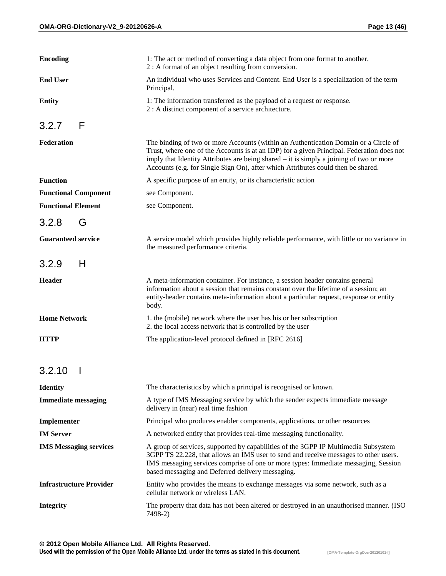| <b>Encoding</b>                | 1: The act or method of converting a data object from one format to another.<br>2 : A format of an object resulting from conversion.                                                                                                                                                                                                                            |
|--------------------------------|-----------------------------------------------------------------------------------------------------------------------------------------------------------------------------------------------------------------------------------------------------------------------------------------------------------------------------------------------------------------|
| <b>End User</b>                | An individual who uses Services and Content. End User is a specialization of the term<br>Principal.                                                                                                                                                                                                                                                             |
| <b>Entity</b>                  | 1: The information transferred as the payload of a request or response.<br>2 : A distinct component of a service architecture.                                                                                                                                                                                                                                  |
| F<br>3.2.7                     |                                                                                                                                                                                                                                                                                                                                                                 |
| Federation                     | The binding of two or more Accounts (within an Authentication Domain or a Circle of<br>Trust, where one of the Accounts is at an IDP) for a given Principal. Federation does not<br>imply that Identity Attributes are being shared – it is simply a joining of two or more<br>Accounts (e.g. for Single Sign On), after which Attributes could then be shared. |
| <b>Function</b>                | A specific purpose of an entity, or its characteristic action                                                                                                                                                                                                                                                                                                   |
| <b>Functional Component</b>    | see Component.                                                                                                                                                                                                                                                                                                                                                  |
| <b>Functional Element</b>      | see Component.                                                                                                                                                                                                                                                                                                                                                  |
| 3.2.8<br>G                     |                                                                                                                                                                                                                                                                                                                                                                 |
| <b>Guaranteed service</b>      | A service model which provides highly reliable performance, with little or no variance in<br>the measured performance criteria.                                                                                                                                                                                                                                 |
| 3.2.9<br>H                     |                                                                                                                                                                                                                                                                                                                                                                 |
| Header                         | A meta-information container. For instance, a session header contains general<br>information about a session that remains constant over the lifetime of a session; an<br>entity-header contains meta-information about a particular request, response or entity<br>body.                                                                                        |
| <b>Home Network</b>            | 1. the (mobile) network where the user has his or her subscription<br>2. the local access network that is controlled by the user                                                                                                                                                                                                                                |
| <b>HTTP</b>                    | The application-level protocol defined in [RFC 2616]                                                                                                                                                                                                                                                                                                            |
| 3.2.10<br>$\mathbf{I}$         |                                                                                                                                                                                                                                                                                                                                                                 |
| <b>Identity</b>                | The characteristics by which a principal is recognised or known.                                                                                                                                                                                                                                                                                                |
| <b>Immediate messaging</b>     | A type of IMS Messaging service by which the sender expects immediate message<br>delivery in (near) real time fashion                                                                                                                                                                                                                                           |
| Implementer                    | Principal who produces enabler components, applications, or other resources                                                                                                                                                                                                                                                                                     |
| <b>IM</b> Server               | A networked entity that provides real-time messaging functionality.                                                                                                                                                                                                                                                                                             |
| <b>IMS Messaging services</b>  | A group of services, supported by capabilities of the 3GPP IP Multimedia Subsystem<br>3GPP TS 22.228, that allows an IMS user to send and receive messages to other users.<br>IMS messaging services comprise of one or more types: Immediate messaging, Session<br>based messaging and Deferred delivery messaging.                                            |
| <b>Infrastructure Provider</b> | Entity who provides the means to exchange messages via some network, such as a<br>cellular network or wireless LAN.                                                                                                                                                                                                                                             |
| <b>Integrity</b>               | The property that data has not been altered or destroyed in an unauthorised manner. (ISO<br>7498-2)                                                                                                                                                                                                                                                             |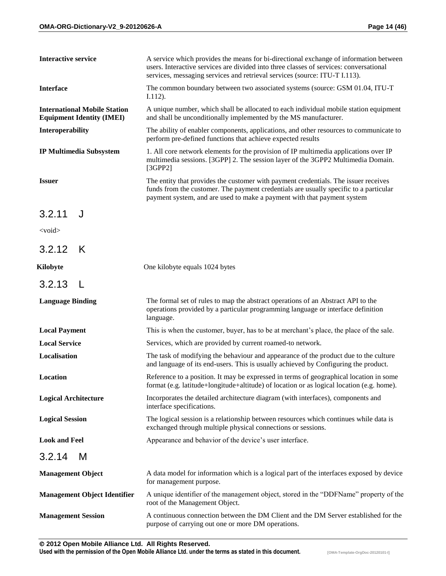| <b>Interactive service</b>                                              | A service which provides the means for bi-directional exchange of information between<br>users. Interactive services are divided into three classes of services: conversational<br>services, messaging services and retrieval services (source: ITU-T I.113). |
|-------------------------------------------------------------------------|---------------------------------------------------------------------------------------------------------------------------------------------------------------------------------------------------------------------------------------------------------------|
| <b>Interface</b>                                                        | The common boundary between two associated systems (source: GSM 01.04, ITU-T<br>$I.112$ ).                                                                                                                                                                    |
| <b>International Mobile Station</b><br><b>Equipment Identity (IMEI)</b> | A unique number, which shall be allocated to each individual mobile station equipment<br>and shall be unconditionally implemented by the MS manufacturer.                                                                                                     |
| Interoperability                                                        | The ability of enabler components, applications, and other resources to communicate to<br>perform pre-defined functions that achieve expected results                                                                                                         |
| <b>IP Multimedia Subsystem</b>                                          | 1. All core network elements for the provision of IP multimedia applications over IP<br>multimedia sessions. [3GPP] 2. The session layer of the 3GPP2 Multimedia Domain.<br>[3GPP2]                                                                           |
| <b>Issuer</b>                                                           | The entity that provides the customer with payment credentials. The issuer receives<br>funds from the customer. The payment credentials are usually specific to a particular<br>payment system, and are used to make a payment with that payment system       |
| 3.2.11<br>J                                                             |                                                                                                                                                                                                                                                               |
| $<$ void $>$                                                            |                                                                                                                                                                                                                                                               |
| 3.2.12<br>K                                                             |                                                                                                                                                                                                                                                               |
| Kilobyte                                                                | One kilobyte equals 1024 bytes                                                                                                                                                                                                                                |
| 3.2.13<br>$\perp$                                                       |                                                                                                                                                                                                                                                               |
| <b>Language Binding</b>                                                 | The formal set of rules to map the abstract operations of an Abstract API to the<br>operations provided by a particular programming language or interface definition<br>language.                                                                             |
| <b>Local Payment</b>                                                    | This is when the customer, buyer, has to be at merchant's place, the place of the sale.                                                                                                                                                                       |
| <b>Local Service</b>                                                    | Services, which are provided by current roamed-to network.                                                                                                                                                                                                    |
| Localisation                                                            | The task of modifying the behaviour and appearance of the product due to the culture<br>and language of its end-users. This is usually achieved by Configuring the product.                                                                                   |
| Location                                                                | Reference to a position. It may be expressed in terms of geographical location in some<br>format (e.g. latitude+longitude+altitude) of location or as logical location (e.g. home).                                                                           |
| <b>Logical Architecture</b>                                             | Incorporates the detailed architecture diagram (with interfaces), components and<br>interface specifications.                                                                                                                                                 |
| <b>Logical Session</b>                                                  | The logical session is a relationship between resources which continues while data is<br>exchanged through multiple physical connections or sessions.                                                                                                         |
| <b>Look and Feel</b>                                                    | Appearance and behavior of the device's user interface.                                                                                                                                                                                                       |
| 3.2.14<br>м                                                             |                                                                                                                                                                                                                                                               |
| <b>Management Object</b>                                                | A data model for information which is a logical part of the interfaces exposed by device<br>for management purpose.                                                                                                                                           |
| <b>Management Object Identifier</b>                                     | A unique identifier of the management object, stored in the "DDFName" property of the<br>root of the Management Object.                                                                                                                                       |
| <b>Management Session</b>                                               | A continuous connection between the DM Client and the DM Server established for the<br>purpose of carrying out one or more DM operations.                                                                                                                     |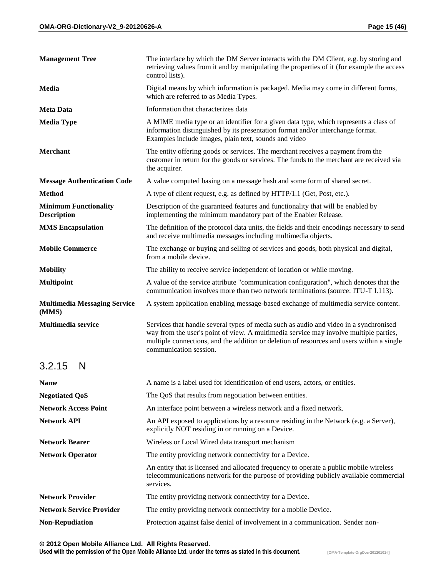| <b>Management Tree</b>                             | The interface by which the DM Server interacts with the DM Client, e.g. by storing and<br>retrieving values from it and by manipulating the properties of it (for example the access<br>control lists).                                                                                               |
|----------------------------------------------------|-------------------------------------------------------------------------------------------------------------------------------------------------------------------------------------------------------------------------------------------------------------------------------------------------------|
| Media                                              | Digital means by which information is packaged. Media may come in different forms,<br>which are referred to as Media Types.                                                                                                                                                                           |
| <b>Meta Data</b>                                   | Information that characterizes data                                                                                                                                                                                                                                                                   |
| <b>Media Type</b>                                  | A MIME media type or an identifier for a given data type, which represents a class of<br>information distinguished by its presentation format and/or interchange format.<br>Examples include images, plain text, sounds and video                                                                     |
| <b>Merchant</b>                                    | The entity offering goods or services. The merchant receives a payment from the<br>customer in return for the goods or services. The funds to the merchant are received via<br>the acquirer.                                                                                                          |
| <b>Message Authentication Code</b>                 | A value computed basing on a message hash and some form of shared secret.                                                                                                                                                                                                                             |
| <b>Method</b>                                      | A type of client request, e.g. as defined by HTTP/1.1 (Get, Post, etc.).                                                                                                                                                                                                                              |
| <b>Minimum Functionality</b><br><b>Description</b> | Description of the guaranteed features and functionality that will be enabled by<br>implementing the minimum mandatory part of the Enabler Release.                                                                                                                                                   |
| <b>MMS</b> Encapsulation                           | The definition of the protocol data units, the fields and their encodings necessary to send<br>and receive multimedia messages including multimedia objects.                                                                                                                                          |
| <b>Mobile Commerce</b>                             | The exchange or buying and selling of services and goods, both physical and digital,<br>from a mobile device.                                                                                                                                                                                         |
| <b>Mobility</b>                                    | The ability to receive service independent of location or while moving.                                                                                                                                                                                                                               |
| <b>Multipoint</b>                                  | A value of the service attribute "communication configuration", which denotes that the<br>communication involves more than two network terminations (source: ITU-T I.113).                                                                                                                            |
| <b>Multimedia Messaging Service</b><br>(MMS)       | A system application enabling message-based exchange of multimedia service content.                                                                                                                                                                                                                   |
| <b>Multimedia service</b>                          | Services that handle several types of media such as audio and video in a synchronised<br>way from the user's point of view. A multimedia service may involve multiple parties,<br>multiple connections, and the addition or deletion of resources and users within a single<br>communication session. |
| 3.2.15<br>N                                        |                                                                                                                                                                                                                                                                                                       |
| Name                                               | A name is a label used for identification of end users, actors, or entities.                                                                                                                                                                                                                          |
| <b>Negotiated QoS</b>                              | The QoS that results from negotiation between entities.                                                                                                                                                                                                                                               |
| <b>Network Access Point</b>                        | An interface point between a wireless network and a fixed network.                                                                                                                                                                                                                                    |
| <b>Network API</b>                                 | An API exposed to applications by a resource residing in the Network (e.g. a Server),<br>explicitly NOT residing in or running on a Device.                                                                                                                                                           |
| <b>Network Bearer</b>                              | Wireless or Local Wired data transport mechanism                                                                                                                                                                                                                                                      |
| <b>Network Operator</b>                            | The entity providing network connectivity for a Device.                                                                                                                                                                                                                                               |
|                                                    | An entity that is licensed and allocated frequency to operate a public mobile wireless<br>telecommunications network for the purpose of providing publicly available commercial<br>services.                                                                                                          |
| <b>Network Provider</b>                            | The entity providing network connectivity for a Device.                                                                                                                                                                                                                                               |
| <b>Network Service Provider</b>                    | The entity providing network connectivity for a mobile Device.                                                                                                                                                                                                                                        |
| <b>Non-Repudiation</b>                             | Protection against false denial of involvement in a communication. Sender non-                                                                                                                                                                                                                        |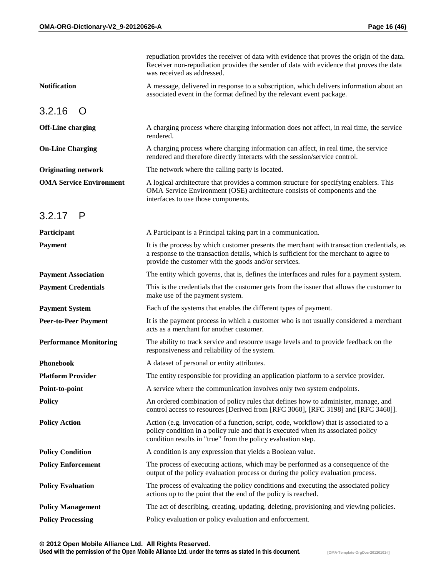|                                | repudiation provides the receiver of data with evidence that proves the origin of the data.<br>Receiver non-repudiation provides the sender of data with evidence that proves the data<br>was received as addressed.                          |
|--------------------------------|-----------------------------------------------------------------------------------------------------------------------------------------------------------------------------------------------------------------------------------------------|
| <b>Notification</b>            | A message, delivered in response to a subscription, which delivers information about an<br>associated event in the format defined by the relevant event package.                                                                              |
| 3.2.16<br>$\Omega$             |                                                                                                                                                                                                                                               |
| <b>Off-Line charging</b>       | A charging process where charging information does not affect, in real time, the service<br>rendered.                                                                                                                                         |
| <b>On-Line Charging</b>        | A charging process where charging information can affect, in real time, the service<br>rendered and therefore directly interacts with the session/service control.                                                                            |
| <b>Originating network</b>     | The network where the calling party is located.                                                                                                                                                                                               |
| <b>OMA Service Environment</b> | A logical architecture that provides a common structure for specifying enablers. This<br>OMA Service Environment (OSE) architecture consists of components and the<br>interfaces to use those components.                                     |
| $3.2.17$ P                     |                                                                                                                                                                                                                                               |
| Participant                    | A Participant is a Principal taking part in a communication.                                                                                                                                                                                  |
| Payment                        | It is the process by which customer presents the merchant with transaction credentials, as<br>a response to the transaction details, which is sufficient for the merchant to agree to<br>provide the customer with the goods and/or services. |
| <b>Payment Association</b>     | The entity which governs, that is, defines the interfaces and rules for a payment system.                                                                                                                                                     |
| <b>Payment Credentials</b>     | This is the credentials that the customer gets from the issuer that allows the customer to<br>make use of the payment system.                                                                                                                 |
| <b>Payment System</b>          | Each of the systems that enables the different types of payment.                                                                                                                                                                              |
| <b>Peer-to-Peer Payment</b>    | It is the payment process in which a customer who is not usually considered a merchant<br>acts as a merchant for another customer.                                                                                                            |
| <b>Performance Monitoring</b>  | The ability to track service and resource usage levels and to provide feedback on the<br>responsiveness and reliability of the system.                                                                                                        |
| <b>Phonebook</b>               | A dataset of personal or entity attributes.                                                                                                                                                                                                   |
| <b>Platform Provider</b>       | The entity responsible for providing an application platform to a service provider.                                                                                                                                                           |
| Point-to-point                 | A service where the communication involves only two system endpoints.                                                                                                                                                                         |
| <b>Policy</b>                  | An ordered combination of policy rules that defines how to administer, manage, and<br>control access to resources [Derived from [RFC 3060], [RFC 3198] and [RFC 3460]].                                                                       |
| <b>Policy Action</b>           | Action (e.g. invocation of a function, script, code, workflow) that is associated to a<br>policy condition in a policy rule and that is executed when its associated policy<br>condition results in "true" from the policy evaluation step.   |
| <b>Policy Condition</b>        | A condition is any expression that yields a Boolean value.                                                                                                                                                                                    |
| <b>Policy Enforcement</b>      | The process of executing actions, which may be performed as a consequence of the<br>output of the policy evaluation process or during the policy evaluation process.                                                                          |
| <b>Policy Evaluation</b>       | The process of evaluating the policy conditions and executing the associated policy<br>actions up to the point that the end of the policy is reached.                                                                                         |
| <b>Policy Management</b>       | The act of describing, creating, updating, deleting, provisioning and viewing policies.                                                                                                                                                       |
| <b>Policy Processing</b>       | Policy evaluation or policy evaluation and enforcement.                                                                                                                                                                                       |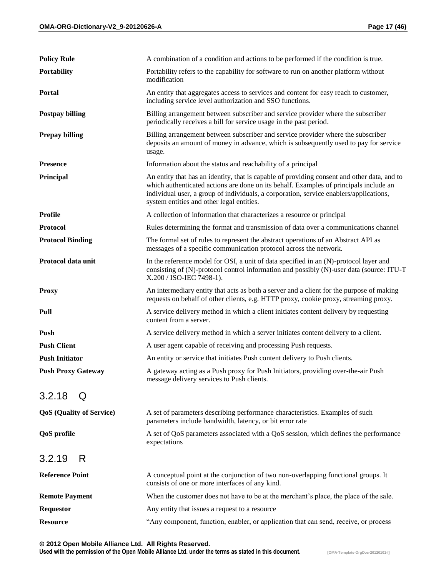| <b>Policy Rule</b>              | A combination of a condition and actions to be performed if the condition is true.                                                                                                                                                                                                                                          |
|---------------------------------|-----------------------------------------------------------------------------------------------------------------------------------------------------------------------------------------------------------------------------------------------------------------------------------------------------------------------------|
| <b>Portability</b>              | Portability refers to the capability for software to run on another platform without<br>modification                                                                                                                                                                                                                        |
| Portal                          | An entity that aggregates access to services and content for easy reach to customer,<br>including service level authorization and SSO functions.                                                                                                                                                                            |
| <b>Postpay billing</b>          | Billing arrangement between subscriber and service provider where the subscriber<br>periodically receives a bill for service usage in the past period.                                                                                                                                                                      |
| <b>Prepay billing</b>           | Billing arrangement between subscriber and service provider where the subscriber<br>deposits an amount of money in advance, which is subsequently used to pay for service<br>usage.                                                                                                                                         |
| <b>Presence</b>                 | Information about the status and reachability of a principal                                                                                                                                                                                                                                                                |
| Principal                       | An entity that has an identity, that is capable of providing consent and other data, and to<br>which authenticated actions are done on its behalf. Examples of principals include an<br>individual user, a group of individuals, a corporation, service enablers/applications,<br>system entities and other legal entities. |
| <b>Profile</b>                  | A collection of information that characterizes a resource or principal                                                                                                                                                                                                                                                      |
| <b>Protocol</b>                 | Rules determining the format and transmission of data over a communications channel                                                                                                                                                                                                                                         |
| <b>Protocol Binding</b>         | The formal set of rules to represent the abstract operations of an Abstract API as<br>messages of a specific communication protocol across the network.                                                                                                                                                                     |
| Protocol data unit              | In the reference model for OSI, a unit of data specified in an (N)-protocol layer and<br>consisting of (N)-protocol control information and possibly (N)-user data (source: ITU-T<br>X.200 / ISO-IEC 7498-1).                                                                                                               |
| <b>Proxy</b>                    | An intermediary entity that acts as both a server and a client for the purpose of making<br>requests on behalf of other clients, e.g. HTTP proxy, cookie proxy, streaming proxy.                                                                                                                                            |
| Pull                            | A service delivery method in which a client initiates content delivery by requesting<br>content from a server.                                                                                                                                                                                                              |
| Push                            | A service delivery method in which a server initiates content delivery to a client.                                                                                                                                                                                                                                         |
| <b>Push Client</b>              | A user agent capable of receiving and processing Push requests.                                                                                                                                                                                                                                                             |
| <b>Push Initiator</b>           | An entity or service that initiates Push content delivery to Push clients.                                                                                                                                                                                                                                                  |
| <b>Push Proxy Gateway</b>       | A gateway acting as a Push proxy for Push Initiators, providing over-the-air Push<br>message delivery services to Push clients.                                                                                                                                                                                             |
| 3.2.18<br>Q                     |                                                                                                                                                                                                                                                                                                                             |
| <b>QoS</b> (Quality of Service) | A set of parameters describing performance characteristics. Examples of such<br>parameters include bandwidth, latency, or bit error rate                                                                                                                                                                                    |
| <b>QoS</b> profile              | A set of QoS parameters associated with a QoS session, which defines the performance<br>expectations                                                                                                                                                                                                                        |
| 3.2.19<br>R                     |                                                                                                                                                                                                                                                                                                                             |
| <b>Reference Point</b>          | A conceptual point at the conjunction of two non-overlapping functional groups. It<br>consists of one or more interfaces of any kind.                                                                                                                                                                                       |
| <b>Remote Payment</b>           | When the customer does not have to be at the merchant's place, the place of the sale.                                                                                                                                                                                                                                       |
| <b>Requestor</b>                | Any entity that issues a request to a resource                                                                                                                                                                                                                                                                              |
| <b>Resource</b>                 | "Any component, function, enabler, or application that can send, receive, or process                                                                                                                                                                                                                                        |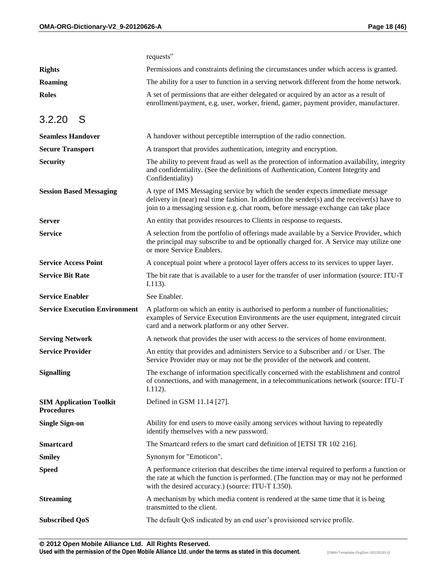|                                                     | requests"                                                                                                                                                                                                                                                          |
|-----------------------------------------------------|--------------------------------------------------------------------------------------------------------------------------------------------------------------------------------------------------------------------------------------------------------------------|
| <b>Rights</b>                                       | Permissions and constraints defining the circumstances under which access is granted.                                                                                                                                                                              |
| <b>Roaming</b>                                      | The ability for a user to function in a serving network different from the home network.                                                                                                                                                                           |
| <b>Roles</b>                                        | A set of permissions that are either delegated or acquired by an actor as a result of<br>enrollment/payment, e.g. user, worker, friend, gamer, payment provider, manufacturer.                                                                                     |
| 3.2.20<br>S                                         |                                                                                                                                                                                                                                                                    |
| <b>Seamless Handover</b>                            | A handover without perceptible interruption of the radio connection.                                                                                                                                                                                               |
| <b>Secure Transport</b>                             | A transport that provides authentication, integrity and encryption.                                                                                                                                                                                                |
| <b>Security</b>                                     | The ability to prevent fraud as well as the protection of information availability, integrity<br>and confidentiality. (See the definitions of Authentication, Content Integrity and<br>Confidentiality)                                                            |
| <b>Session Based Messaging</b>                      | A type of IMS Messaging service by which the sender expects immediate message<br>delivery in (near) real time fashion. In addition the sender(s) and the receiver(s) have to<br>join to a messaging session e.g. chat room, before message exchange can take place |
| <b>Server</b>                                       | An entity that provides resources to Clients in response to requests.                                                                                                                                                                                              |
| <b>Service</b>                                      | A selection from the portfolio of offerings made available by a Service Provider, which<br>the principal may subscribe to and be optionally charged for. A Service may utilize one<br>or more Service Enablers.                                                    |
| <b>Service Access Point</b>                         | A conceptual point where a protocol layer offers access to its services to upper layer.                                                                                                                                                                            |
| <b>Service Bit Rate</b>                             | The bit rate that is available to a user for the transfer of user information (source: ITU-T<br>$I.113$ ).                                                                                                                                                         |
|                                                     |                                                                                                                                                                                                                                                                    |
| <b>Service Enabler</b>                              | See Enabler.                                                                                                                                                                                                                                                       |
| <b>Service Execution Environment</b>                | A platform on which an entity is authorised to perform a number of functionalities;<br>examples of Service Execution Environments are the user equipment, integrated circuit<br>card and a network platform or any other Server.                                   |
| <b>Serving Network</b>                              | A network that provides the user with access to the services of home environment.                                                                                                                                                                                  |
| <b>Service Provider</b>                             | An entity that provides and administers Service to a Subscriber and / or User. The<br>Service Provider may or may not be the provider of the network and content.                                                                                                  |
| <b>Signalling</b>                                   | The exchange of information specifically concerned with the establishment and control<br>of connections, and with management, in a telecommunications network (source: ITU-T<br>$I.112$ ).                                                                         |
| <b>SIM Application Toolkit</b><br><b>Procedures</b> | Defined in GSM 11.14 [27].                                                                                                                                                                                                                                         |
| <b>Single Sign-on</b>                               | Ability for end users to move easily among services without having to repeatedly<br>identify themselves with a new password.                                                                                                                                       |
| <b>Smartcard</b>                                    | The Smartcard refers to the smart card definition of [ETSI TR 102 216].                                                                                                                                                                                            |
| <b>Smiley</b>                                       | Synonym for "Emoticon".                                                                                                                                                                                                                                            |
| <b>Speed</b>                                        | A performance criterion that describes the time interval required to perform a function or<br>the rate at which the function is performed. (The function may or may not be performed<br>with the desired accuracy.) (source: ITU-T I.350).                         |
| <b>Streaming</b>                                    | A mechanism by which media content is rendered at the same time that it is being<br>transmitted to the client.                                                                                                                                                     |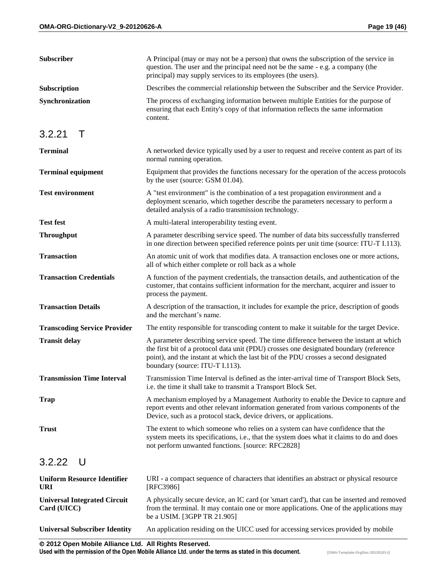| Subscriber                                         | A Principal (may or may not be a person) that owns the subscription of the service in<br>question. The user and the principal need not be the same - e.g. a company (the<br>principal) may supply services to its employees (the users).                                                                    |
|----------------------------------------------------|-------------------------------------------------------------------------------------------------------------------------------------------------------------------------------------------------------------------------------------------------------------------------------------------------------------|
| Subscription                                       | Describes the commercial relationship between the Subscriber and the Service Provider.                                                                                                                                                                                                                      |
| Synchronization                                    | The process of exchanging information between multiple Entities for the purpose of<br>ensuring that each Entity's copy of that information reflects the same information<br>content.                                                                                                                        |
| 3.2.21<br>$\top$                                   |                                                                                                                                                                                                                                                                                                             |
| <b>Terminal</b>                                    | A networked device typically used by a user to request and receive content as part of its<br>normal running operation.                                                                                                                                                                                      |
| <b>Terminal equipment</b>                          | Equipment that provides the functions necessary for the operation of the access protocols<br>by the user (source: GSM 01.04).                                                                                                                                                                               |
| <b>Test environment</b>                            | A "test environment" is the combination of a test propagation environment and a<br>deployment scenario, which together describe the parameters necessary to perform a<br>detailed analysis of a radio transmission technology.                                                                              |
| <b>Test fest</b>                                   | A multi-lateral interoperability testing event.                                                                                                                                                                                                                                                             |
| <b>Throughput</b>                                  | A parameter describing service speed. The number of data bits successfully transferred<br>in one direction between specified reference points per unit time (source: ITU-T I.113).                                                                                                                          |
| <b>Transaction</b>                                 | An atomic unit of work that modifies data. A transaction encloses one or more actions,<br>all of which either complete or roll back as a whole                                                                                                                                                              |
| <b>Transaction Credentials</b>                     | A function of the payment credentials, the transaction details, and authentication of the<br>customer, that contains sufficient information for the merchant, acquirer and issuer to<br>process the payment.                                                                                                |
| <b>Transaction Details</b>                         | A description of the transaction, it includes for example the price, description of goods<br>and the merchant's name.                                                                                                                                                                                       |
| <b>Transcoding Service Provider</b>                | The entity responsible for transcoding content to make it suitable for the target Device.                                                                                                                                                                                                                   |
| <b>Transit delay</b>                               | A parameter describing service speed. The time difference between the instant at which<br>the first bit of a protocol data unit (PDU) crosses one designated boundary (reference<br>point), and the instant at which the last bit of the PDU crosses a second designated<br>boundary (source: ITU-T I.113). |
| <b>Transmission Time Interval</b>                  | Transmission Time Interval is defined as the inter-arrival time of Transport Block Sets,<br>i.e. the time it shall take to transmit a Transport Block Set.                                                                                                                                                  |
| <b>Trap</b>                                        | A mechanism employed by a Management Authority to enable the Device to capture and<br>report events and other relevant information generated from various components of the<br>Device, such as a protocol stack, device drivers, or applications.                                                           |
| <b>Trust</b>                                       | The extent to which someone who relies on a system can have confidence that the<br>system meets its specifications, i.e., that the system does what it claims to do and does<br>not perform unwanted functions. [source: RFC2828]                                                                           |
| 3.2.22<br>U                                        |                                                                                                                                                                                                                                                                                                             |
| <b>Uniform Resource Identifier</b><br><b>URI</b>   | URI - a compact sequence of characters that identifies an abstract or physical resource<br>[RFC3986]                                                                                                                                                                                                        |
| <b>Universal Integrated Circuit</b><br>Card (UICC) | A physically secure device, an IC card (or 'smart card'), that can be inserted and removed<br>from the terminal. It may contain one or more applications. One of the applications may<br>be a USIM. [3GPP TR 21.905]                                                                                        |
| <b>Universal Subscriber Identity</b>               | An application residing on the UICC used for accessing services provided by mobile                                                                                                                                                                                                                          |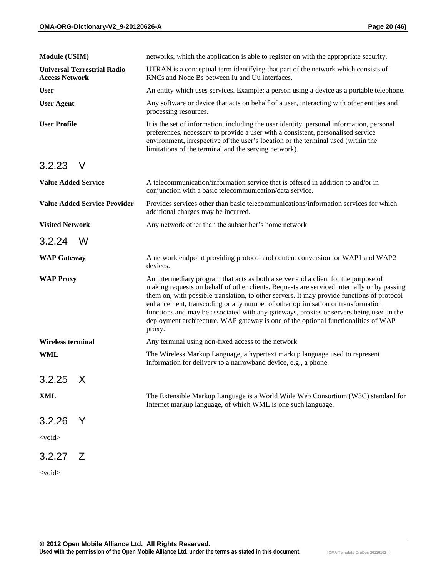| <b>Module (USIM)</b>                                        | networks, which the application is able to register on with the appropriate security.                                                                                                                                                                                                                                                                                                                                                                                                                                                                       |
|-------------------------------------------------------------|-------------------------------------------------------------------------------------------------------------------------------------------------------------------------------------------------------------------------------------------------------------------------------------------------------------------------------------------------------------------------------------------------------------------------------------------------------------------------------------------------------------------------------------------------------------|
| <b>Universal Terrestrial Radio</b><br><b>Access Network</b> | UTRAN is a conceptual term identifying that part of the network which consists of<br>RNCs and Node Bs between Iu and Uu interfaces.                                                                                                                                                                                                                                                                                                                                                                                                                         |
| <b>User</b>                                                 | An entity which uses services. Example: a person using a device as a portable telephone.                                                                                                                                                                                                                                                                                                                                                                                                                                                                    |
| <b>User Agent</b>                                           | Any software or device that acts on behalf of a user, interacting with other entities and<br>processing resources.                                                                                                                                                                                                                                                                                                                                                                                                                                          |
| <b>User Profile</b>                                         | It is the set of information, including the user identity, personal information, personal<br>preferences, necessary to provide a user with a consistent, personalised service<br>environment, irrespective of the user's location or the terminal used (within the<br>limitations of the terminal and the serving network).                                                                                                                                                                                                                                 |
| $\vee$<br>3.2.23                                            |                                                                                                                                                                                                                                                                                                                                                                                                                                                                                                                                                             |
| <b>Value Added Service</b>                                  | A telecommunication/information service that is offered in addition to and/or in<br>conjunction with a basic telecommunication/data service.                                                                                                                                                                                                                                                                                                                                                                                                                |
| <b>Value Added Service Provider</b>                         | Provides services other than basic telecommunications/information services for which<br>additional charges may be incurred.                                                                                                                                                                                                                                                                                                                                                                                                                                 |
| <b>Visited Network</b>                                      | Any network other than the subscriber's home network                                                                                                                                                                                                                                                                                                                                                                                                                                                                                                        |
| 3.2.24<br>W                                                 |                                                                                                                                                                                                                                                                                                                                                                                                                                                                                                                                                             |
| <b>WAP Gateway</b>                                          | A network endpoint providing protocol and content conversion for WAP1 and WAP2<br>devices.                                                                                                                                                                                                                                                                                                                                                                                                                                                                  |
| <b>WAP Proxy</b>                                            | An intermediary program that acts as both a server and a client for the purpose of<br>making requests on behalf of other clients. Requests are serviced internally or by passing<br>them on, with possible translation, to other servers. It may provide functions of protocol<br>enhancement, transcoding or any number of other optimisation or transformation<br>functions and may be associated with any gateways, proxies or servers being used in the<br>deployment architecture. WAP gateway is one of the optional functionalities of WAP<br>proxy. |
| Wireless terminal                                           | Any terminal using non-fixed access to the network                                                                                                                                                                                                                                                                                                                                                                                                                                                                                                          |
| <b>WML</b>                                                  | The Wireless Markup Language, a hypertext markup language used to represent<br>information for delivery to a narrowband device, e.g., a phone.                                                                                                                                                                                                                                                                                                                                                                                                              |
| $3.2.25 \times$                                             |                                                                                                                                                                                                                                                                                                                                                                                                                                                                                                                                                             |
| <b>XML</b>                                                  | The Extensible Markup Language is a World Wide Web Consortium (W3C) standard for<br>Internet markup language, of which WML is one such language.                                                                                                                                                                                                                                                                                                                                                                                                            |
| 3.2.26<br>Y                                                 |                                                                                                                                                                                                                                                                                                                                                                                                                                                                                                                                                             |
| <void></void>                                               |                                                                                                                                                                                                                                                                                                                                                                                                                                                                                                                                                             |
| $3.2.27$ Z                                                  |                                                                                                                                                                                                                                                                                                                                                                                                                                                                                                                                                             |
| $<$ void $>$                                                |                                                                                                                                                                                                                                                                                                                                                                                                                                                                                                                                                             |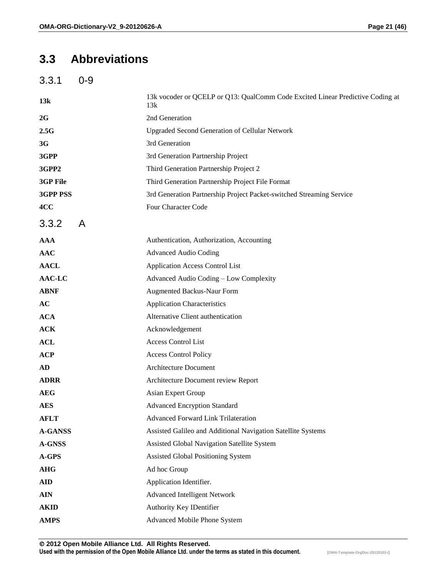#### **3.3 Abbreviations**

3.3.1 0-9

| 13k             | 13k vocoder or QCELP or Q13: QualComm Code Excited Linear Predictive Coding at<br>13k |
|-----------------|---------------------------------------------------------------------------------------|
| 2G              | 2nd Generation                                                                        |
| 2.5G            | <b>Upgraded Second Generation of Cellular Network</b>                                 |
| 3G              | 3rd Generation                                                                        |
| 3GPP            | 3rd Generation Partnership Project                                                    |
| 3GPP2           | Third Generation Partnership Project 2                                                |
| 3GP File        | Third Generation Partnership Project File Format                                      |
| <b>3GPP PSS</b> | 3rd Generation Partnership Project Packet-switched Streaming Service                  |
| 4CC             | Four Character Code                                                                   |
| 3.3.2<br>A      |                                                                                       |
| <b>AAA</b>      | Authentication, Authorization, Accounting                                             |
| <b>AAC</b>      | <b>Advanced Audio Coding</b>                                                          |
| <b>AACL</b>     | <b>Application Access Control List</b>                                                |
| AAC-LC          | Advanced Audio Coding - Low Complexity                                                |
| <b>ABNF</b>     | <b>Augmented Backus-Naur Form</b>                                                     |
| AC              | <b>Application Characteristics</b>                                                    |
| <b>ACA</b>      | Alternative Client authentication                                                     |
| <b>ACK</b>      | Acknowledgement                                                                       |
| <b>ACL</b>      | <b>Access Control List</b>                                                            |
| <b>ACP</b>      | <b>Access Control Policy</b>                                                          |
| AD              | Architecture Document                                                                 |
| <b>ADRR</b>     | Architecture Document review Report                                                   |
| <b>AEG</b>      | Asian Expert Group                                                                    |
| <b>AES</b>      | <b>Advanced Encryption Standard</b>                                                   |
| <b>AFLT</b>     | <b>Advanced Forward Link Trilateration</b>                                            |
| <b>A-GANSS</b>  | Assisted Galileo and Additional Navigation Satellite Systems                          |
| <b>A-GNSS</b>   | Assisted Global Navigation Satellite System                                           |
| A-GPS           | Assisted Global Positioning System                                                    |
| <b>AHG</b>      | Ad hoc Group                                                                          |
| <b>AID</b>      | Application Identifier.                                                               |
| <b>AIN</b>      | <b>Advanced Intelligent Network</b>                                                   |
| <b>AKID</b>     | Authority Key IDentifier                                                              |
| <b>AMPS</b>     | Advanced Mobile Phone System                                                          |
|                 |                                                                                       |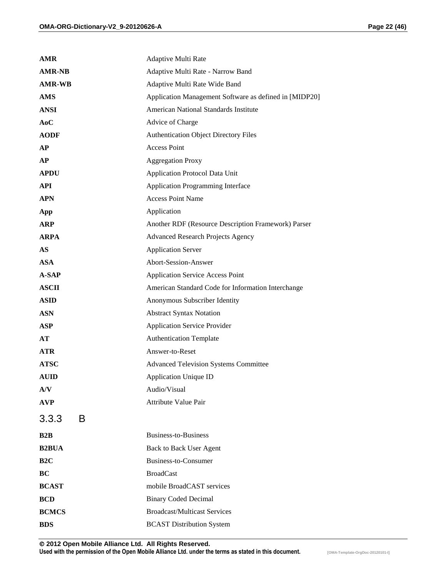| <b>AMR</b>      | Adaptive Multi Rate                                    |
|-----------------|--------------------------------------------------------|
| <b>AMR-NB</b>   | Adaptive Multi Rate - Narrow Band                      |
| <b>AMR-WB</b>   | Adaptive Multi Rate Wide Band                          |
| <b>AMS</b>      | Application Management Software as defined in [MIDP20] |
| <b>ANSI</b>     | American National Standards Institute                  |
| AoC             | Advice of Charge                                       |
| <b>AODF</b>     | <b>Authentication Object Directory Files</b>           |
| AP              | <b>Access Point</b>                                    |
| <b>AP</b>       | <b>Aggregation Proxy</b>                               |
| <b>APDU</b>     | Application Protocol Data Unit                         |
| <b>API</b>      | Application Programming Interface                      |
| <b>APN</b>      | <b>Access Point Name</b>                               |
| App             | Application                                            |
| <b>ARP</b>      | Another RDF (Resource Description Framework) Parser    |
| <b>ARPA</b>     | <b>Advanced Research Projects Agency</b>               |
| AS              | <b>Application Server</b>                              |
| <b>ASA</b>      | Abort-Session-Answer                                   |
| A-SAP           | <b>Application Service Access Point</b>                |
| <b>ASCII</b>    | American Standard Code for Information Interchange     |
| <b>ASID</b>     | Anonymous Subscriber Identity                          |
| <b>ASN</b>      | <b>Abstract Syntax Notation</b>                        |
| <b>ASP</b>      | <b>Application Service Provider</b>                    |
| AT              | <b>Authentication Template</b>                         |
| <b>ATR</b>      | Answer-to-Reset                                        |
| <b>ATSC</b>     | <b>Advanced Television Systems Committee</b>           |
| <b>AUID</b>     | <b>Application Unique ID</b>                           |
| A/V             | Audio/Visual                                           |
| $\bold{AVP}$    | <b>Attribute Value Pair</b>                            |
| 3.3.3<br>B      |                                                        |
| B2B             | <b>Business-to-Business</b>                            |
| <b>B2BUA</b>    | <b>Back to Back User Agent</b>                         |
| B <sub>2C</sub> | <b>Business-to-Consumer</b>                            |
| BC              | <b>BroadCast</b>                                       |
| <b>BCAST</b>    | mobile BroadCAST services                              |
| <b>BCD</b>      | <b>Binary Coded Decimal</b>                            |
| <b>BCMCS</b>    | <b>Broadcast/Multicast Services</b>                    |
| <b>BDS</b>      | <b>BCAST Distribution System</b>                       |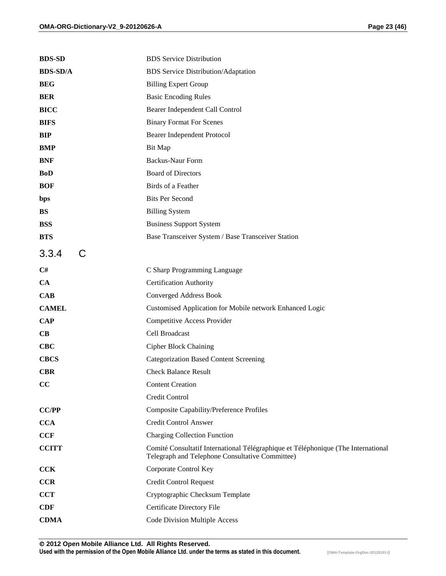| <b>BDS-SD</b>   | <b>BDS</b> Service Distribution                                                                                                      |
|-----------------|--------------------------------------------------------------------------------------------------------------------------------------|
| <b>BDS-SD/A</b> | <b>BDS</b> Service Distribution/Adaptation                                                                                           |
| <b>BEG</b>      | <b>Billing Expert Group</b>                                                                                                          |
| <b>BER</b>      | <b>Basic Encoding Rules</b>                                                                                                          |
| <b>BICC</b>     | Bearer Independent Call Control                                                                                                      |
| <b>BIFS</b>     | <b>Binary Format For Scenes</b>                                                                                                      |
| <b>BIP</b>      | Bearer Independent Protocol                                                                                                          |
| <b>BMP</b>      | Bit Map                                                                                                                              |
| <b>BNF</b>      | <b>Backus-Naur Form</b>                                                                                                              |
| <b>BoD</b>      | <b>Board of Directors</b>                                                                                                            |
| <b>BOF</b>      | Birds of a Feather                                                                                                                   |
| bps             | <b>Bits Per Second</b>                                                                                                               |
| <b>BS</b>       | <b>Billing System</b>                                                                                                                |
| <b>BSS</b>      | <b>Business Support System</b>                                                                                                       |
| <b>BTS</b>      | Base Transceiver System / Base Transceiver Station                                                                                   |
| C<br>3.3.4      |                                                                                                                                      |
| C#              | C Sharp Programming Language                                                                                                         |
| CA              | <b>Certification Authority</b>                                                                                                       |
| <b>CAB</b>      | <b>Converged Address Book</b>                                                                                                        |
| <b>CAMEL</b>    | Customised Application for Mobile network Enhanced Logic                                                                             |
| <b>CAP</b>      | Competitive Access Provider                                                                                                          |
| CB              | Cell Broadcast                                                                                                                       |
| $CEC$           | <b>Cipher Block Chaining</b>                                                                                                         |
| <b>CBCS</b>     | <b>Categorization Based Content Screening</b>                                                                                        |
| <b>CBR</b>      | <b>Check Balance Result</b>                                                                                                          |
| cc              | <b>Content Creation</b>                                                                                                              |
|                 | Credit Control                                                                                                                       |
| <b>CC/PP</b>    | <b>Composite Capability/Preference Profiles</b>                                                                                      |
| <b>CCA</b>      | Credit Control Answer                                                                                                                |
| <b>CCF</b>      | <b>Charging Collection Function</b>                                                                                                  |
| <b>CCITT</b>    | Comité Consultatif International Télégraphique et Téléphonique (The International<br>Telegraph and Telephone Consultative Committee) |
| <b>CCK</b>      | Corporate Control Key                                                                                                                |
| <b>CCR</b>      | <b>Credit Control Request</b>                                                                                                        |
| <b>CCT</b>      | Cryptographic Checksum Template                                                                                                      |
| <b>CDF</b>      | Certificate Directory File                                                                                                           |
| <b>CDMA</b>     | <b>Code Division Multiple Access</b>                                                                                                 |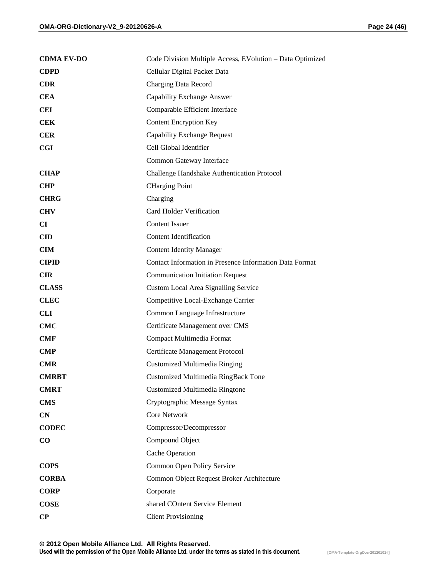| Page 24 (46) |  |
|--------------|--|
|              |  |

| <b>CDMA EV-DO</b> | Code Division Multiple Access, EVolution - Data Optimized |
|-------------------|-----------------------------------------------------------|
| <b>CDPD</b>       | Cellular Digital Packet Data                              |
| <b>CDR</b>        | Charging Data Record                                      |
| <b>CEA</b>        | Capability Exchange Answer                                |
| <b>CEI</b>        | Comparable Efficient Interface                            |
| <b>CEK</b>        | <b>Content Encryption Key</b>                             |
| <b>CER</b>        | <b>Capability Exchange Request</b>                        |
| CGI               | Cell Global Identifier                                    |
|                   | Common Gateway Interface                                  |
| <b>CHAP</b>       | Challenge Handshake Authentication Protocol               |
| <b>CHP</b>        | <b>CHarging Point</b>                                     |
| <b>CHRG</b>       | Charging                                                  |
| <b>CHV</b>        | <b>Card Holder Verification</b>                           |
| <b>CI</b>         | <b>Content Issuer</b>                                     |
| <b>CID</b>        | <b>Content Identification</b>                             |
| $CM$              | <b>Content Identity Manager</b>                           |
| <b>CIPID</b>      | Contact Information in Presence Information Data Format   |
| <b>CIR</b>        | <b>Communication Initiation Request</b>                   |
| <b>CLASS</b>      | <b>Custom Local Area Signalling Service</b>               |
| <b>CLEC</b>       | Competitive Local-Exchange Carrier                        |
| <b>CLI</b>        | Common Language Infrastructure                            |
| <b>CMC</b>        | Certificate Management over CMS                           |
| <b>CMF</b>        | Compact Multimedia Format                                 |
| <b>CMP</b>        | Certificate Management Protocol                           |
| <b>CMR</b>        | <b>Customized Multimedia Ringing</b>                      |
| <b>CMRBT</b>      | Customized Multimedia RingBack Tone                       |
| <b>CMRT</b>       | <b>Customized Multimedia Ringtone</b>                     |
| <b>CMS</b>        | Cryptographic Message Syntax                              |
| CN                | Core Network                                              |
| <b>CODEC</b>      | Compressor/Decompressor                                   |
| $\bf CO$          | Compound Object                                           |
|                   | Cache Operation                                           |
| <b>COPS</b>       | Common Open Policy Service                                |
| <b>CORBA</b>      | Common Object Request Broker Architecture                 |
| <b>CORP</b>       | Corporate                                                 |
| <b>COSE</b>       | shared COntent Service Element                            |
| $\bf CP$          | <b>Client Provisioning</b>                                |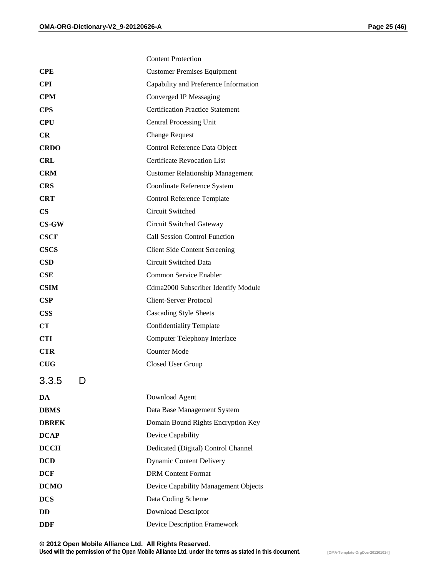|               | <b>Content Protection</b>               |
|---------------|-----------------------------------------|
| <b>CPE</b>    | <b>Customer Premises Equipment</b>      |
| <b>CPI</b>    | Capability and Preference Information   |
| <b>CPM</b>    | Converged IP Messaging                  |
| <b>CPS</b>    | <b>Certification Practice Statement</b> |
| <b>CPU</b>    | <b>Central Processing Unit</b>          |
| <b>CR</b>     | <b>Change Request</b>                   |
| <b>CRDO</b>   | Control Reference Data Object           |
| <b>CRL</b>    | <b>Certificate Revocation List</b>      |
| <b>CRM</b>    | <b>Customer Relationship Management</b> |
| <b>CRS</b>    | Coordinate Reference System             |
| <b>CRT</b>    | <b>Control Reference Template</b>       |
| $\mathbf{CS}$ | <b>Circuit Switched</b>                 |
| $CS-GW$       | Circuit Switched Gateway                |
| <b>CSCF</b>   | <b>Call Session Control Function</b>    |
| <b>CSCS</b>   | <b>Client Side Content Screening</b>    |
| <b>CSD</b>    | Circuit Switched Data                   |
| CSE           | Common Service Enabler                  |
| <b>CSIM</b>   | Cdma2000 Subscriber Identify Module     |
| CSP           | <b>Client-Server Protocol</b>           |
| <b>CSS</b>    | <b>Cascading Style Sheets</b>           |
| CT            | <b>Confidentiality Template</b>         |
| <b>CTI</b>    | <b>Computer Telephony Interface</b>     |
| <b>CTR</b>    | <b>Counter Mode</b>                     |
| CUG           | Closed User Group                       |
| 3.3.5<br>נ ו  |                                         |
| DA            | Download Agent                          |
| <b>DBMS</b>   | Data Base Management System             |
| <b>DBREK</b>  | Domain Bound Rights Encryption Key      |
| <b>DCAP</b>   | Device Capability                       |
| <b>DCCH</b>   | Dedicated (Digital) Control Channel     |
| <b>DCD</b>    | <b>Dynamic Content Delivery</b>         |
| <b>DCF</b>    | <b>DRM</b> Content Format               |
| <b>DCMO</b>   | Device Capability Management Objects    |
| <b>DCS</b>    | Data Coding Scheme                      |
| DD            | <b>Download Descriptor</b>              |
| <b>DDF</b>    | Device Description Framework            |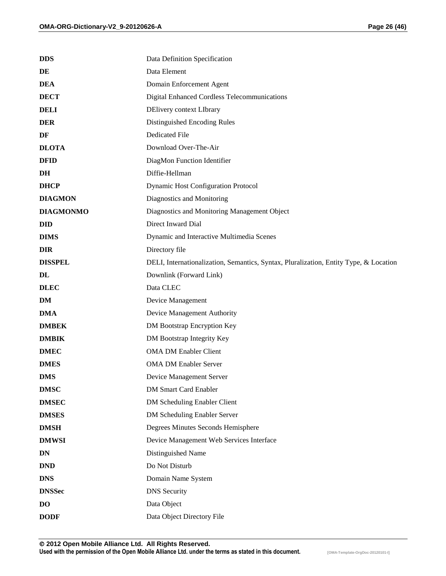| <b>DDS</b>       | Data Definition Specification                                                         |
|------------------|---------------------------------------------------------------------------------------|
| DE               | Data Element                                                                          |
| <b>DEA</b>       | Domain Enforcement Agent                                                              |
| <b>DECT</b>      | Digital Enhanced Cordless Telecommunications                                          |
| <b>DELI</b>      | DElivery context LIbrary                                                              |
| <b>DER</b>       | Distinguished Encoding Rules                                                          |
| DF               | Dedicated File                                                                        |
| <b>DLOTA</b>     | Download Over-The-Air                                                                 |
| <b>DFID</b>      | DiagMon Function Identifier                                                           |
| DH               | Diffie-Hellman                                                                        |
| <b>DHCP</b>      | <b>Dynamic Host Configuration Protocol</b>                                            |
| <b>DIAGMON</b>   | Diagnostics and Monitoring                                                            |
| <b>DIAGMONMO</b> | Diagnostics and Monitoring Management Object                                          |
| <b>DID</b>       | Direct Inward Dial                                                                    |
| <b>DIMS</b>      | Dynamic and Interactive Multimedia Scenes                                             |
| <b>DIR</b>       | Directory file                                                                        |
| <b>DISSPEL</b>   | DELI, Internationalization, Semantics, Syntax, Pluralization, Entity Type, & Location |
| DL               | Downlink (Forward Link)                                                               |
| <b>DLEC</b>      | Data CLEC                                                                             |
| DM               | Device Management                                                                     |
| <b>DMA</b>       | Device Management Authority                                                           |
| <b>DMBEK</b>     | DM Bootstrap Encryption Key                                                           |
| <b>DMBIK</b>     | DM Bootstrap Integrity Key                                                            |
| <b>DMEC</b>      | <b>OMA DM Enabler Client</b>                                                          |
| <b>DMES</b>      | <b>OMA DM Enabler Server</b>                                                          |
| <b>DMS</b>       | Device Management Server                                                              |
| <b>DMSC</b>      | <b>DM Smart Card Enabler</b>                                                          |
| <b>DMSEC</b>     | DM Scheduling Enabler Client                                                          |
| <b>DMSES</b>     | DM Scheduling Enabler Server                                                          |
| <b>DMSH</b>      | Degrees Minutes Seconds Hemisphere                                                    |
| <b>DMWSI</b>     | Device Management Web Services Interface                                              |
| DN               | Distinguished Name                                                                    |
| <b>DND</b>       | Do Not Disturb                                                                        |
| <b>DNS</b>       | Domain Name System                                                                    |
| <b>DNSSec</b>    | <b>DNS</b> Security                                                                   |
| <b>DO</b>        | Data Object                                                                           |
| <b>DODF</b>      | Data Object Directory File                                                            |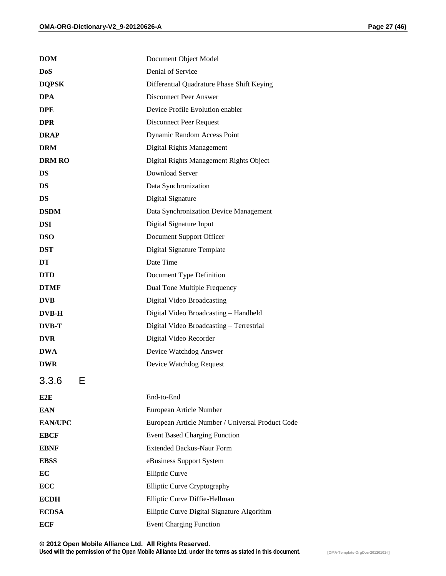| <b>DOM</b>       | Document Object Model                            |
|------------------|--------------------------------------------------|
| <b>DoS</b>       | Denial of Service                                |
| <b>DQPSK</b>     | Differential Quadrature Phase Shift Keying       |
| <b>DPA</b>       | <b>Disconnect Peer Answer</b>                    |
| <b>DPE</b>       | Device Profile Evolution enabler                 |
| <b>DPR</b>       | <b>Disconnect Peer Request</b>                   |
| <b>DRAP</b>      | Dynamic Random Access Point                      |
| <b>DRM</b>       | Digital Rights Management                        |
| <b>DRM RO</b>    | Digital Rights Management Rights Object          |
| <b>DS</b>        | Download Server                                  |
| <b>DS</b>        | Data Synchronization                             |
| DS               | Digital Signature                                |
| <b>DSDM</b>      | Data Synchronization Device Management           |
| <b>DSI</b>       | Digital Signature Input                          |
| <b>DSO</b>       | Document Support Officer                         |
| <b>DST</b>       | Digital Signature Template                       |
| DT               | Date Time                                        |
| <b>DTD</b>       | Document Type Definition                         |
| <b>DTMF</b>      | Dual Tone Multiple Frequency                     |
| <b>DVB</b>       | Digital Video Broadcasting                       |
| <b>DVB-H</b>     | Digital Video Broadcasting - Handheld            |
| <b>DVB-T</b>     | Digital Video Broadcasting - Terrestrial         |
| <b>DVR</b>       | Digital Video Recorder                           |
| <b>DWA</b>       | Device Watchdog Answer                           |
| <b>DWR</b>       | Device Watchdog Request                          |
| 3.3.6<br>⊏<br>⊏  |                                                  |
| E <sub>2</sub> E | End-to-End                                       |
| <b>EAN</b>       | European Article Number                          |
| <b>EAN/UPC</b>   | European Article Number / Universal Product Code |
| <b>EBCF</b>      | <b>Event Based Charging Function</b>             |
| <b>EBNF</b>      | <b>Extended Backus-Naur Form</b>                 |
| <b>EBSS</b>      | eBusiness Support System                         |
| EC               | <b>Elliptic Curve</b>                            |
| <b>ECC</b>       | <b>Elliptic Curve Cryptography</b>               |
| <b>ECDH</b>      | Elliptic Curve Diffie-Hellman                    |
| <b>ECDSA</b>     | Elliptic Curve Digital Signature Algorithm       |
| <b>ECF</b>       | <b>Event Charging Function</b>                   |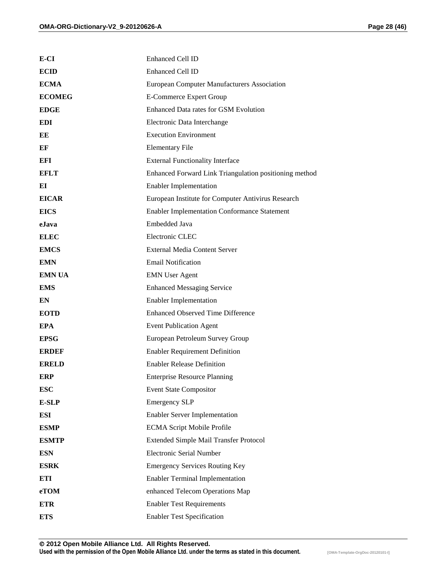| E-CI          | <b>Enhanced Cell ID</b>                                |
|---------------|--------------------------------------------------------|
| <b>ECID</b>   | <b>Enhanced Cell ID</b>                                |
| <b>ECMA</b>   | European Computer Manufacturers Association            |
| <b>ECOMEG</b> | <b>E-Commerce Expert Group</b>                         |
| <b>EDGE</b>   | Enhanced Data rates for GSM Evolution                  |
| EDI           | Electronic Data Interchange                            |
| ЕE            | <b>Execution Environment</b>                           |
| EF            | <b>Elementary File</b>                                 |
| EFI           | <b>External Functionality Interface</b>                |
| <b>EFLT</b>   | Enhanced Forward Link Triangulation positioning method |
| EI            | <b>Enabler Implementation</b>                          |
| <b>EICAR</b>  | European Institute for Computer Antivirus Research     |
| <b>EICS</b>   | <b>Enabler Implementation Conformance Statement</b>    |
| eJava         | Embedded Java                                          |
| <b>ELEC</b>   | Electronic CLEC                                        |
| <b>EMCS</b>   | <b>External Media Content Server</b>                   |
| <b>EMN</b>    | <b>Email Notification</b>                              |
| <b>EMN UA</b> | <b>EMN</b> User Agent                                  |
| <b>EMS</b>    | <b>Enhanced Messaging Service</b>                      |
| EN            | <b>Enabler Implementation</b>                          |
| <b>EOTD</b>   | <b>Enhanced Observed Time Difference</b>               |
| <b>EPA</b>    | <b>Event Publication Agent</b>                         |
| <b>EPSG</b>   | European Petroleum Survey Group                        |
| <b>ERDER</b>  | <b>Enabler Requirement Definition</b>                  |
| <b>ERELD</b>  | <b>Enabler Release Definition</b>                      |
| ERP           | <b>Enterprise Resource Planning</b>                    |
| <b>ESC</b>    | <b>Event State Compositor</b>                          |
| <b>E-SLP</b>  | <b>Emergency SLP</b>                                   |
| <b>ESI</b>    | <b>Enabler Server Implementation</b>                   |
| <b>ESMP</b>   | <b>ECMA Script Mobile Profile</b>                      |
| <b>ESMTP</b>  | Extended Simple Mail Transfer Protocol                 |
| <b>ESN</b>    | <b>Electronic Serial Number</b>                        |
| <b>ESRK</b>   | <b>Emergency Services Routing Key</b>                  |
| <b>ETI</b>    | <b>Enabler Terminal Implementation</b>                 |
| eTOM          | enhanced Telecom Operations Map                        |
| <b>ETR</b>    | <b>Enabler Test Requirements</b>                       |
| <b>ETS</b>    | <b>Enabler Test Specification</b>                      |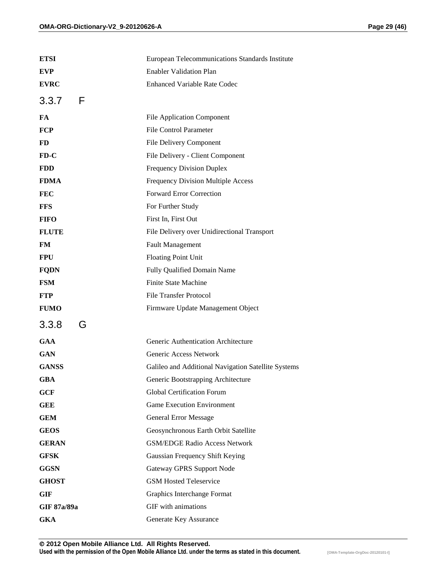| <b>ETSI</b>  | European Telecommunications Standards Institute     |
|--------------|-----------------------------------------------------|
| <b>EVP</b>   | <b>Enabler Validation Plan</b>                      |
| <b>EVRC</b>  | <b>Enhanced Variable Rate Codec</b>                 |
| 3.3.7<br>F   |                                                     |
| FA           | <b>File Application Component</b>                   |
| <b>FCP</b>   | <b>File Control Parameter</b>                       |
| <b>FD</b>    | File Delivery Component                             |
| $FD-C$       | File Delivery - Client Component                    |
| <b>FDD</b>   | <b>Frequency Division Duplex</b>                    |
| <b>FDMA</b>  | <b>Frequency Division Multiple Access</b>           |
| <b>FEC</b>   | Forward Error Correction                            |
| <b>FFS</b>   | For Further Study                                   |
| <b>FIFO</b>  | First In, First Out                                 |
| <b>FLUTE</b> | File Delivery over Unidirectional Transport         |
| FM           | <b>Fault Management</b>                             |
| <b>FPU</b>   | <b>Floating Point Unit</b>                          |
| <b>FQDN</b>  | Fully Qualified Domain Name                         |
| <b>FSM</b>   | <b>Finite State Machine</b>                         |
| <b>FTP</b>   | <b>File Transfer Protocol</b>                       |
| <b>FUMO</b>  | Firmware Update Management Object                   |
| 3.3.8<br>G   |                                                     |
| <b>GAA</b>   | Generic Authentication Architecture                 |
| <b>GAN</b>   | Generic Access Network                              |
| <b>GANSS</b> | Galileo and Additional Navigation Satellite Systems |
| <b>GBA</b>   | Generic Bootstrapping Architecture                  |
| GCF          | Global Certification Forum                          |
| <b>GEE</b>   | <b>Game Execution Environment</b>                   |
| <b>GEM</b>   | <b>General Error Message</b>                        |
| <b>GEOS</b>  | Geosynchronous Earth Orbit Satellite                |
| <b>GERAN</b> | <b>GSM/EDGE Radio Access Network</b>                |
| <b>GFSK</b>  | Gaussian Frequency Shift Keying                     |
| <b>GGSN</b>  | <b>Gateway GPRS Support Node</b>                    |
| <b>GHOST</b> | <b>GSM Hosted Teleservice</b>                       |
| <b>GIF</b>   | Graphics Interchange Format                         |
| GIF 87a/89a  | GIF with animations                                 |
| <b>GKA</b>   | Generate Key Assurance                              |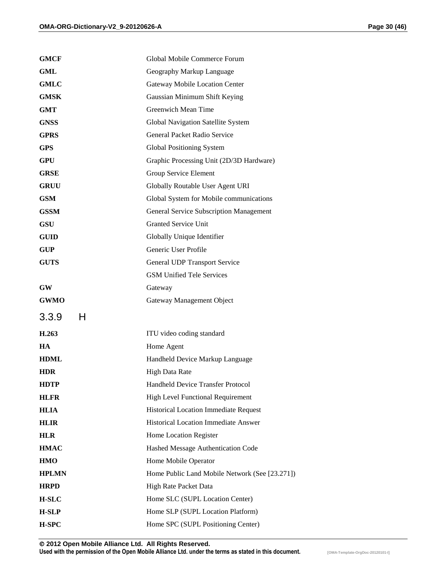| <b>GMCF</b>  | Global Mobile Commerce Forum                   |
|--------------|------------------------------------------------|
| GML          | Geography Markup Language                      |
| <b>GMLC</b>  | Gateway Mobile Location Center                 |
| <b>GMSK</b>  | Gaussian Minimum Shift Keying                  |
| <b>GMT</b>   | Greenwich Mean Time                            |
| <b>GNSS</b>  | Global Navigation Satellite System             |
| <b>GPRS</b>  | General Packet Radio Service                   |
| <b>GPS</b>   | Global Positioning System                      |
| <b>GPU</b>   | Graphic Processing Unit (2D/3D Hardware)       |
| <b>GRSE</b>  | Group Service Element                          |
| <b>GRUU</b>  | Globally Routable User Agent URI               |
| <b>GSM</b>   | Global System for Mobile communications        |
| <b>GSSM</b>  | <b>General Service Subscription Management</b> |
| <b>GSU</b>   | <b>Granted Service Unit</b>                    |
| <b>GUID</b>  | Globally Unique Identifier                     |
| <b>GUP</b>   | Generic User Profile                           |
| <b>GUTS</b>  | General UDP Transport Service                  |
|              | <b>GSM Unified Tele Services</b>               |
| <b>GW</b>    | Gateway                                        |
| <b>GWMO</b>  | Gateway Management Object                      |
| 3.3.9<br>H   |                                                |
| H.263        | ITU video coding standard                      |
| HA           | Home Agent                                     |
| <b>HDML</b>  | Handheld Device Markup Language                |
| <b>HDR</b>   | <b>High Data Rate</b>                          |
| <b>HDTP</b>  | <b>Handheld Device Transfer Protocol</b>       |
| <b>HLFR</b>  | <b>High Level Functional Requirement</b>       |
| <b>HLIA</b>  | Historical Location Immediate Request          |
| <b>HLIR</b>  | <b>Historical Location Immediate Answer</b>    |
| <b>HLR</b>   | Home Location Register                         |
| <b>HMAC</b>  | Hashed Message Authentication Code             |
| <b>HMO</b>   | Home Mobile Operator                           |
| <b>HPLMN</b> | Home Public Land Mobile Network (See [23.271]) |
| <b>HRPD</b>  | High Rate Packet Data                          |
| <b>H-SLC</b> | Home SLC (SUPL Location Center)                |
| <b>H-SLP</b> | Home SLP (SUPL Location Platform)              |
| H-SPC        | Home SPC (SUPL Positioning Center)             |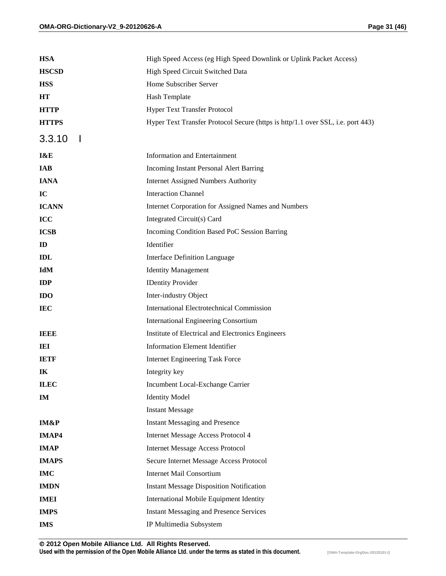| <b>HSA</b>   | High Speed Access (eg High Speed Downlink or Uplink Packet Access)              |
|--------------|---------------------------------------------------------------------------------|
| <b>HSCSD</b> | High Speed Circuit Switched Data                                                |
| <b>HSS</b>   | Home Subscriber Server                                                          |
| HT           | Hash Template                                                                   |
| <b>HTTP</b>  | Hyper Text Transfer Protocol                                                    |
| <b>HTTPS</b> | Hyper Text Transfer Protocol Secure (https is http/1.1 over SSL, i.e. port 443) |
| 3.3.10       |                                                                                 |
| I&E          | <b>Information and Entertainment</b>                                            |
| <b>IAB</b>   | Incoming Instant Personal Alert Barring                                         |
| <b>IANA</b>  | <b>Internet Assigned Numbers Authority</b>                                      |
| IC           | <b>Interaction Channel</b>                                                      |
| <b>ICANN</b> | Internet Corporation for Assigned Names and Numbers                             |
| ICC          | Integrated Circuit(s) Card                                                      |
| ICSB         | Incoming Condition Based PoC Session Barring                                    |
| ID           | Identifier                                                                      |
| IDL          | <b>Interface Definition Language</b>                                            |
| IdM          | <b>Identity Management</b>                                                      |
| <b>IDP</b>   | <b>IDentity Provider</b>                                                        |
| <b>IDO</b>   | Inter-industry Object                                                           |
| <b>IEC</b>   | <b>International Electrotechnical Commission</b>                                |
|              | <b>International Engineering Consortium</b>                                     |
| <b>IEEE</b>  | Institute of Electrical and Electronics Engineers                               |
| IEI          | <b>Information Element Identifier</b>                                           |
| <b>IETF</b>  | <b>Internet Engineering Task Force</b>                                          |
| IK           | Integrity key                                                                   |
| <b>ILEC</b>  | Incumbent Local-Exchange Carrier                                                |
| IM           | <b>Identity Model</b>                                                           |
|              | <b>Instant Message</b>                                                          |
| IM&P         | <b>Instant Messaging and Presence</b>                                           |
| <b>IMAP4</b> | <b>Internet Message Access Protocol 4</b>                                       |
| <b>IMAP</b>  | <b>Internet Message Access Protocol</b>                                         |
| <b>IMAPS</b> | Secure Internet Message Access Protocol                                         |
| <b>IMC</b>   | Internet Mail Consortium                                                        |
| <b>IMDN</b>  | <b>Instant Message Disposition Notification</b>                                 |
| <b>IMEI</b>  | International Mobile Equipment Identity                                         |
| <b>IMPS</b>  | <b>Instant Messaging and Presence Services</b>                                  |
| <b>IMS</b>   | IP Multimedia Subsystem                                                         |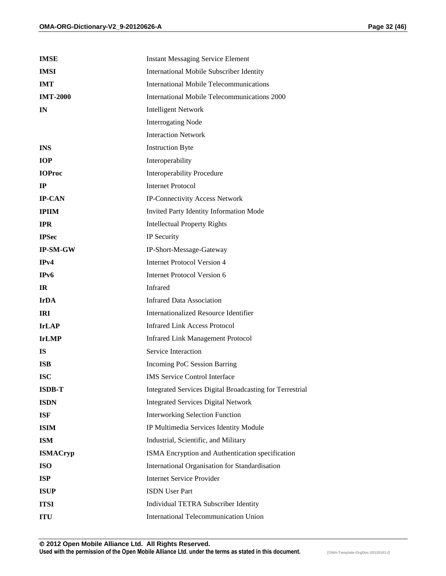| <b>IMSE</b>     | <b>Instant Messaging Service Element</b>                 |
|-----------------|----------------------------------------------------------|
| <b>IMSI</b>     | International Mobile Subscriber Identity                 |
| <b>IMT</b>      | International Mobile Telecommunications                  |
| <b>IMT-2000</b> | International Mobile Telecommunications 2000             |
| $\mathbf{I}$ N  | <b>Intelligent Network</b>                               |
|                 | <b>Interrogating Node</b>                                |
|                 | <b>Interaction Network</b>                               |
| <b>INS</b>      | <b>Instruction Byte</b>                                  |
| <b>IOP</b>      | Interoperability                                         |
| <b>IOProc</b>   | <b>Interoperability Procedure</b>                        |
| $_{\rm IP}$     | <b>Internet Protocol</b>                                 |
| <b>IP-CAN</b>   | IP-Connectivity Access Network                           |
| <b>IPIIM</b>    | Invited Party Identity Information Mode                  |
| <b>IPR</b>      | <b>Intellectual Property Rights</b>                      |
| <b>IPSec</b>    | IP Security                                              |
| <b>IP-SM-GW</b> | IP-Short-Message-Gateway                                 |
| IPv4            | <b>Internet Protocol Version 4</b>                       |
| IPv6            | Internet Protocol Version 6                              |
| IR.             | Infrared                                                 |
| <b>IrDA</b>     | <b>Infrared Data Association</b>                         |
| <b>IRI</b>      | <b>Internationalized Resource Identifier</b>             |
| <b>IrLAP</b>    | <b>Infrared Link Access Protocol</b>                     |
| <b>IrLMP</b>    | <b>Infrared Link Management Protocol</b>                 |
| <b>IS</b>       | Service Interaction                                      |
| <b>ISB</b>      | Incoming PoC Session Barring                             |
| <b>ISC</b>      | <b>IMS</b> Service Control Interface                     |
| <b>ISDB-T</b>   | Integrated Services Digital Broadcasting for Terrestrial |
| <b>ISDN</b>     | <b>Integrated Services Digital Network</b>               |
| <b>ISF</b>      | <b>Interworking Selection Function</b>                   |
| <b>ISIM</b>     | IP Multimedia Services Identity Module                   |
| <b>ISM</b>      | Industrial, Scientific, and Military                     |
| <b>ISMACryp</b> | ISMA Encryption and Authentication specification         |
| <b>ISO</b>      | International Organisation for Standardisation           |
| <b>ISP</b>      | <b>Internet Service Provider</b>                         |
| <b>ISUP</b>     | <b>ISDN</b> User Part                                    |
| <b>ITSI</b>     | Individual TETRA Subscriber Identity                     |
| <b>ITU</b>      | International Telecommunication Union                    |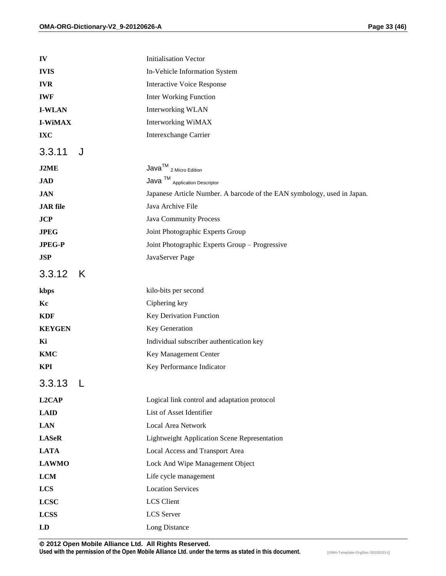| IV                     | <b>Initialisation Vector</b>                                                                                                                             |
|------------------------|----------------------------------------------------------------------------------------------------------------------------------------------------------|
| <b>IVIS</b>            | In-Vehicle Information System                                                                                                                            |
| <b>IVR</b>             | <b>Interactive Voice Response</b>                                                                                                                        |
| <b>IWF</b>             | <b>Inter Working Function</b>                                                                                                                            |
| <b>I-WLAN</b>          | <b>Interworking WLAN</b>                                                                                                                                 |
| <b>I-WiMAX</b>         | <b>Interworking WiMAX</b>                                                                                                                                |
| IXC                    | <b>Interexchange Carrier</b>                                                                                                                             |
| J<br>3.3.11            |                                                                                                                                                          |
| J2ME                   | $Java^{TM}$ 2 Micro Edition                                                                                                                              |
| JAD                    | $\ensuremath{\mathsf{Java}}\xspace^{\ensuremath{\mathsf{TM}}}\xspace_{\ensuremath{\mathsf{Application}}\xspace\ensuremath{\mathsf{Description}}}\xspace$ |
| <b>JAN</b>             | Japanese Article Number. A barcode of the EAN symbology, used in Japan.                                                                                  |
| <b>JAR</b> file        | Java Archive File                                                                                                                                        |
| JCP                    | <b>Java Community Process</b>                                                                                                                            |
| <b>JPEG</b>            | Joint Photographic Experts Group                                                                                                                         |
| <b>JPEG-P</b>          | Joint Photographic Experts Group - Progressive                                                                                                           |
| <b>JSP</b>             | JavaServer Page                                                                                                                                          |
| 3.3.12<br>K            |                                                                                                                                                          |
| kbps                   | kilo-bits per second                                                                                                                                     |
| Kc                     | Ciphering key                                                                                                                                            |
| <b>KDF</b>             | Key Derivation Function                                                                                                                                  |
| <b>KEYGEN</b>          | Key Generation                                                                                                                                           |
| Ki                     | Individual subscriber authentication key                                                                                                                 |
| <b>KMC</b>             | Key Management Center                                                                                                                                    |
| <b>KPI</b>             | Key Performance Indicator                                                                                                                                |
| 3.3.13<br>$\mathsf{L}$ |                                                                                                                                                          |
| L2CAP                  | Logical link control and adaptation protocol                                                                                                             |
| <b>LAID</b>            | List of Asset Identifier                                                                                                                                 |
| <b>LAN</b>             | Local Area Network                                                                                                                                       |
| <b>LASeR</b>           | <b>Lightweight Application Scene Representation</b>                                                                                                      |
| <b>LATA</b>            | Local Access and Transport Area                                                                                                                          |
| <b>LAWMO</b>           | Lock And Wipe Management Object                                                                                                                          |
| <b>LCM</b>             | Life cycle management                                                                                                                                    |
| <b>LCS</b>             | <b>Location Services</b>                                                                                                                                 |
| <b>LCSC</b>            | LCS Client                                                                                                                                               |
| <b>LCSS</b>            | LCS Server                                                                                                                                               |
| LD                     | Long Distance                                                                                                                                            |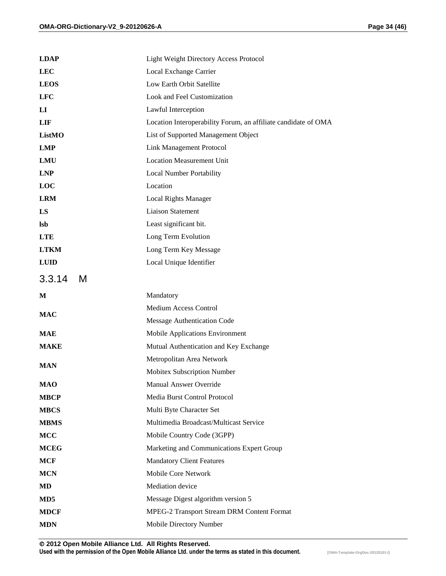| <b>LDAP</b>            | <b>Light Weight Directory Access Protocol</b>                  |
|------------------------|----------------------------------------------------------------|
| <b>LEC</b>             | Local Exchange Carrier                                         |
| <b>LEOS</b>            | Low Earth Orbit Satellite                                      |
| <b>LFC</b>             | Look and Feel Customization                                    |
| $\mathbf{L}\mathbf{I}$ | Lawful Interception                                            |
| <b>LIF</b>             | Location Interoperability Forum, an affiliate candidate of OMA |
| ListMO                 | List of Supported Management Object                            |
| <b>LMP</b>             | <b>Link Management Protocol</b>                                |
| <b>LMU</b>             | <b>Location Measurement Unit</b>                               |
| <b>LNP</b>             | <b>Local Number Portability</b>                                |
| <b>LOC</b>             | Location                                                       |
| <b>LRM</b>             | <b>Local Rights Manager</b>                                    |
| LS                     | <b>Liaison Statement</b>                                       |
| <b>lsb</b>             | Least significant bit.                                         |
| <b>LTE</b>             | Long Term Evolution                                            |
| <b>LTKM</b>            | Long Term Key Message                                          |
| <b>LUID</b>            | Local Unique Identifier                                        |
| 3.3.14<br>M            |                                                                |
| M                      | Mandatory                                                      |
|                        | <b>Medium Access Control</b>                                   |
| <b>MAC</b>             | Message Authentication Code                                    |
| <b>MAE</b>             | Mobile Applications Environment                                |
| <b>MAKE</b>            | Mutual Authentication and Key Exchange                         |
|                        | Metropolitan Area Network                                      |
| <b>MAN</b>             | Mobitex Subscription Number                                    |
| <b>MAO</b>             | <b>Manual Answer Override</b>                                  |
| <b>MBCP</b>            | Media Burst Control Protocol                                   |
| <b>MBCS</b>            | Multi Byte Character Set                                       |
| <b>MBMS</b>            | Multimedia Broadcast/Multicast Service                         |
| <b>MCC</b>             | Mobile Country Code (3GPP)                                     |
| <b>MCEG</b>            | Marketing and Communications Expert Group                      |
| <b>MCF</b>             | <b>Mandatory Client Features</b>                               |
| <b>MCN</b>             | Mobile Core Network                                            |
| MD                     | Mediation device                                               |
| MD <sub>5</sub>        | Message Digest algorithm version 5                             |
| <b>MDCF</b>            | MPEG-2 Transport Stream DRM Content Format                     |
| <b>MDN</b>             | Mobile Directory Number                                        |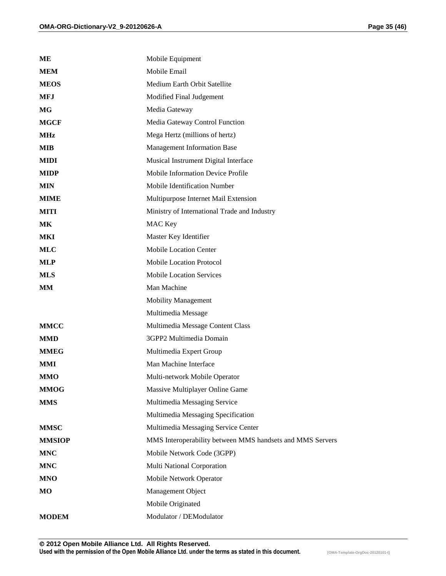| MЕ            | Mobile Equipment                                          |
|---------------|-----------------------------------------------------------|
| <b>MEM</b>    | Mobile Email                                              |
| <b>MEOS</b>   | Medium Earth Orbit Satellite                              |
| <b>MFJ</b>    | Modified Final Judgement                                  |
| MG            | Media Gateway                                             |
| <b>MGCF</b>   | Media Gateway Control Function                            |
| <b>MHz</b>    | Mega Hertz (millions of hertz)                            |
| <b>MIB</b>    | <b>Management Information Base</b>                        |
| <b>MIDI</b>   | Musical Instrument Digital Interface                      |
| <b>MIDP</b>   | Mobile Information Device Profile                         |
| <b>MIN</b>    | Mobile Identification Number                              |
| <b>MIME</b>   | Multipurpose Internet Mail Extension                      |
| <b>MITI</b>   | Ministry of International Trade and Industry              |
| <b>MK</b>     | MAC Key                                                   |
| <b>MKI</b>    | Master Key Identifier                                     |
| <b>MLC</b>    | <b>Mobile Location Center</b>                             |
| <b>MLP</b>    | <b>Mobile Location Protocol</b>                           |
| <b>MLS</b>    | <b>Mobile Location Services</b>                           |
| <b>MM</b>     | Man Machine                                               |
|               | <b>Mobility Management</b>                                |
|               | Multimedia Message                                        |
| <b>MMCC</b>   | Multimedia Message Content Class                          |
| <b>MMD</b>    | 3GPP2 Multimedia Domain                                   |
| <b>MMEG</b>   | Multimedia Expert Group                                   |
| <b>MMI</b>    | Man Machine Interface                                     |
| <b>MMO</b>    | Multi-network Mobile Operator                             |
| <b>MMOG</b>   | Massive Multiplayer Online Game                           |
| <b>MMS</b>    | Multimedia Messaging Service                              |
|               | Multimedia Messaging Specification                        |
| <b>MMSC</b>   | Multimedia Messaging Service Center                       |
| <b>MMSIOP</b> | MMS Interoperability between MMS handsets and MMS Servers |
| <b>MNC</b>    | Mobile Network Code (3GPP)                                |
| <b>MNC</b>    | Multi National Corporation                                |
| <b>MNO</b>    | Mobile Network Operator                                   |
| MO            | Management Object                                         |
|               | Mobile Originated                                         |
| <b>MODEM</b>  | Modulator / DEModulator                                   |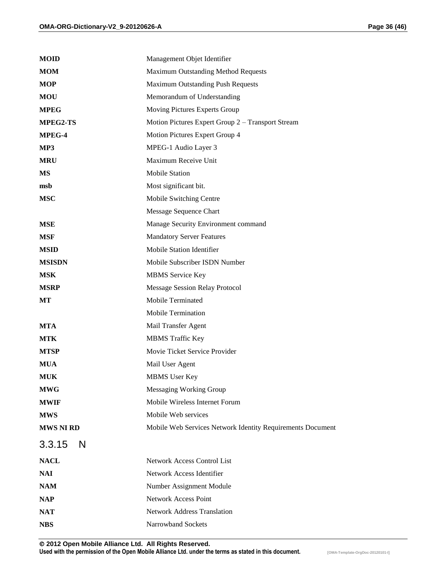| <b>MOID</b>      | Management Objet Identifier                                |
|------------------|------------------------------------------------------------|
| <b>MOM</b>       | Maximum Outstanding Method Requests                        |
| <b>MOP</b>       | <b>Maximum Outstanding Push Requests</b>                   |
| <b>MOU</b>       | Memorandum of Understanding                                |
| <b>MPEG</b>      | Moving Pictures Experts Group                              |
| <b>MPEG2-TS</b>  | Motion Pictures Expert Group 2 – Transport Stream          |
| MPEG-4           | Motion Pictures Expert Group 4                             |
| MP3              | MPEG-1 Audio Layer 3                                       |
| <b>MRU</b>       | Maximum Receive Unit                                       |
| MS               | <b>Mobile Station</b>                                      |
| msb              | Most significant bit.                                      |
| <b>MSC</b>       | Mobile Switching Centre                                    |
|                  | Message Sequence Chart                                     |
| <b>MSE</b>       | Manage Security Environment command                        |
| <b>MSF</b>       | <b>Mandatory Server Features</b>                           |
| <b>MSID</b>      | Mobile Station Identifier                                  |
| <b>MSISDN</b>    | Mobile Subscriber ISDN Number                              |
| <b>MSK</b>       | <b>MBMS</b> Service Key                                    |
| <b>MSRP</b>      | <b>Message Session Relay Protocol</b>                      |
| МT               | Mobile Terminated                                          |
|                  | <b>Mobile Termination</b>                                  |
| <b>MTA</b>       | Mail Transfer Agent                                        |
| <b>MTK</b>       | <b>MBMS</b> Traffic Key                                    |
| <b>MTSP</b>      | Movie Ticket Service Provider                              |
| <b>MUA</b>       | Mail User Agent                                            |
| MUK              | <b>MBMS</b> User Key                                       |
| <b>MWG</b>       | <b>Messaging Working Group</b>                             |
| <b>MWIF</b>      | Mobile Wireless Internet Forum                             |
| <b>MWS</b>       | Mobile Web services                                        |
| <b>MWS NI RD</b> | Mobile Web Services Network Identity Requirements Document |
| 3.3.15<br>N      |                                                            |
| <b>NACL</b>      | <b>Network Access Control List</b>                         |
| <b>NAI</b>       | Network Access Identifier                                  |
| <b>NAM</b>       | Number Assignment Module                                   |
| <b>NAP</b>       | Network Access Point                                       |
| <b>NAT</b>       | <b>Network Address Translation</b>                         |
| <b>NBS</b>       | Narrowband Sockets                                         |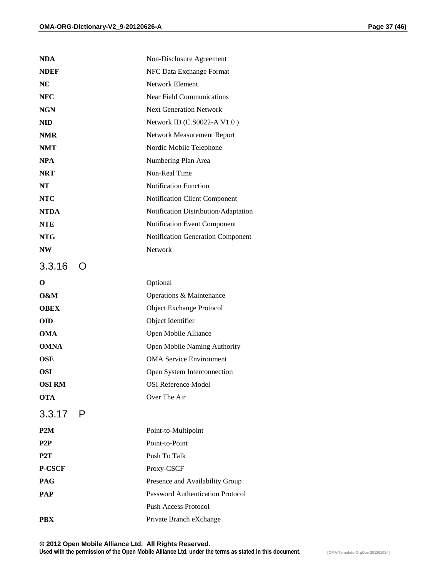| <b>NDA</b>       | Non-Disclosure Agreement             |
|------------------|--------------------------------------|
| <b>NDEF</b>      | NFC Data Exchange Format             |
| <b>NE</b>        | <b>Network Element</b>               |
| <b>NFC</b>       | <b>Near Field Communications</b>     |
| <b>NGN</b>       | <b>Next Generation Network</b>       |
| <b>NID</b>       | Network ID (C.S0022-A V1.0)          |
| <b>NMR</b>       | Network Measurement Report           |
| <b>NMT</b>       | Nordic Mobile Telephone              |
| <b>NPA</b>       | Numbering Plan Area                  |
| <b>NRT</b>       | Non-Real Time                        |
| <b>NT</b>        | <b>Notification Function</b>         |
| <b>NTC</b>       | Notification Client Component        |
| <b>NTDA</b>      | Notification Distribution/Adaptation |
| <b>NTE</b>       | Notification Event Component         |
| <b>NTG</b>       | Notification Generation Component    |
| <b>NW</b>        | Network                              |
| 3.3.16           |                                      |
| O                | Optional                             |
| 0&M              | Operations & Maintenance             |
| <b>OBEX</b>      | <b>Object Exchange Protocol</b>      |
| <b>OID</b>       | Object Identifier                    |
| <b>OMA</b>       | Open Mobile Alliance                 |
| <b>OMNA</b>      | Open Mobile Naming Authority         |
| <b>OSE</b>       | <b>OMA Service Environment</b>       |
| <b>OSI</b>       | Open System Interconnection          |
| <b>OSIRM</b>     | <b>OSI Reference Model</b>           |
| <b>OTA</b>       | Over The Air                         |
| 3.3.17 P         |                                      |
| P2M              | Point-to-Multipoint                  |
| P2P              | Point-to-Point                       |
| P <sub>2</sub> T | Push To Talk                         |
| <b>P-CSCF</b>    | Proxy-CSCF                           |
| <b>PAG</b>       | Presence and Availability Group      |
| <b>PAP</b>       | Password Authentication Protocol     |
|                  | <b>Push Access Protocol</b>          |
| <b>PBX</b>       | Private Branch eXchange              |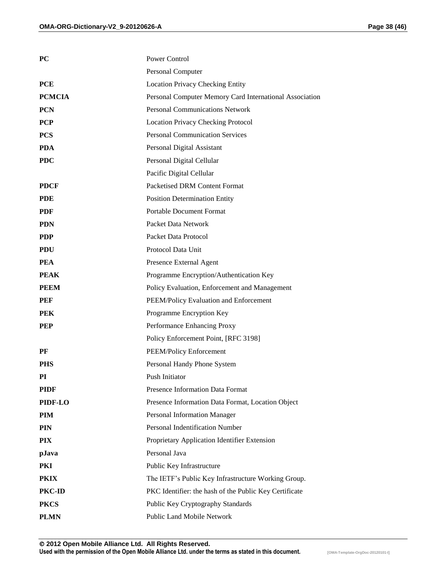| <b>PC</b>     | Power Control                                           |
|---------------|---------------------------------------------------------|
|               | Personal Computer                                       |
| <b>PCE</b>    | <b>Location Privacy Checking Entity</b>                 |
| <b>PCMCIA</b> | Personal Computer Memory Card International Association |
| <b>PCN</b>    | <b>Personal Communications Network</b>                  |
| <b>PCP</b>    | <b>Location Privacy Checking Protocol</b>               |
| <b>PCS</b>    | <b>Personal Communication Services</b>                  |
| <b>PDA</b>    | Personal Digital Assistant                              |
| <b>PDC</b>    | Personal Digital Cellular                               |
|               | Pacific Digital Cellular                                |
| <b>PDCF</b>   | Packetised DRM Content Format                           |
| <b>PDE</b>    | <b>Position Determination Entity</b>                    |
| <b>PDF</b>    | <b>Portable Document Format</b>                         |
| <b>PDN</b>    | Packet Data Network                                     |
| <b>PDP</b>    | Packet Data Protocol                                    |
| <b>PDU</b>    | Protocol Data Unit                                      |
| <b>PEA</b>    | Presence External Agent                                 |
| <b>PEAK</b>   | Programme Encryption/Authentication Key                 |
| <b>PEEM</b>   | Policy Evaluation, Enforcement and Management           |
| PEF           | PEEM/Policy Evaluation and Enforcement                  |
| <b>PEK</b>    | Programme Encryption Key                                |
| <b>PEP</b>    | Performance Enhancing Proxy                             |
|               | Policy Enforcement Point, [RFC 3198]                    |
| PF            | PEEM/Policy Enforcement                                 |
| <b>PHS</b>    | Personal Handy Phone System                             |
| PI            | Push Initiator                                          |
| <b>PIDF</b>   | Presence Information Data Format                        |
| PIDF-LO       | Presence Information Data Format, Location Object       |
| PIM           | Personal Information Manager                            |
| <b>PIN</b>    | Personal Indentification Number                         |
| <b>PIX</b>    | Proprietary Application Identifier Extension            |
| pJava         | Personal Java                                           |
| PKI           | Public Key Infrastructure                               |
| <b>PKIX</b>   | The IETF's Public Key Infrastructure Working Group.     |
| PKC-ID        | PKC Identifier: the hash of the Public Key Certificate  |
| <b>PKCS</b>   | Public Key Cryptography Standards                       |
| <b>PLMN</b>   | Public Land Mobile Network                              |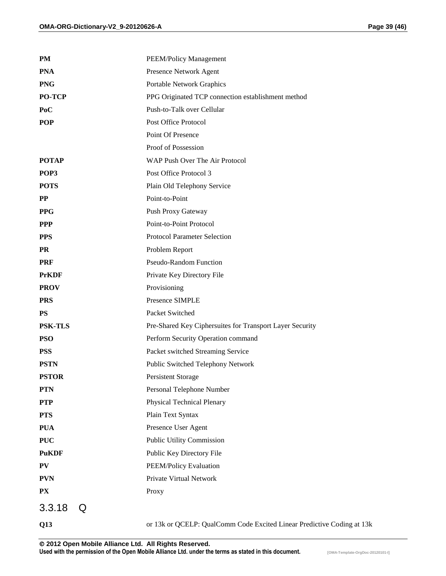| <b>PM</b>      | <b>PEEM/Policy Management</b>                                          |
|----------------|------------------------------------------------------------------------|
| <b>PNA</b>     | Presence Network Agent                                                 |
| <b>PNG</b>     | Portable Network Graphics                                              |
| <b>PO-TCP</b>  | PPG Originated TCP connection establishment method                     |
| PoC            | Push-to-Talk over Cellular                                             |
| <b>POP</b>     | Post Office Protocol                                                   |
|                | Point Of Presence                                                      |
|                | Proof of Possession                                                    |
| <b>POTAP</b>   | WAP Push Over The Air Protocol                                         |
| POP3           | Post Office Protocol 3                                                 |
| <b>POTS</b>    | Plain Old Telephony Service                                            |
| PP             | Point-to-Point                                                         |
| <b>PPG</b>     | Push Proxy Gateway                                                     |
| <b>PPP</b>     | Point-to-Point Protocol                                                |
| <b>PPS</b>     | Protocol Parameter Selection                                           |
| <b>PR</b>      | Problem Report                                                         |
| <b>PRF</b>     | <b>Pseudo-Random Function</b>                                          |
| <b>PrKDF</b>   | Private Key Directory File                                             |
| <b>PROV</b>    | Provisioning                                                           |
| <b>PRS</b>     | Presence SIMPLE                                                        |
| <b>PS</b>      | Packet Switched                                                        |
| <b>PSK-TLS</b> | Pre-Shared Key Ciphersuites for Transport Layer Security               |
| <b>PSO</b>     | Perform Security Operation command                                     |
| <b>PSS</b>     | Packet switched Streaming Service                                      |
| <b>PSTN</b>    | Public Switched Telephony Network                                      |
| <b>PSTOR</b>   | Persistent Storage                                                     |
| <b>PTN</b>     | Personal Telephone Number                                              |
| <b>PTP</b>     | Physical Technical Plenary                                             |
| <b>PTS</b>     | Plain Text Syntax                                                      |
| <b>PUA</b>     | Presence User Agent                                                    |
| <b>PUC</b>     | Public Utility Commission                                              |
| <b>PuKDF</b>   | Public Key Directory File                                              |
| PV             | PEEM/Policy Evaluation                                                 |
| <b>PVN</b>     | Private Virtual Network                                                |
| PX             | Proxy                                                                  |
| 3.3.18<br>Q    |                                                                        |
| Q13            | or 13k or QCELP: QualComm Code Excited Linear Predictive Coding at 13k |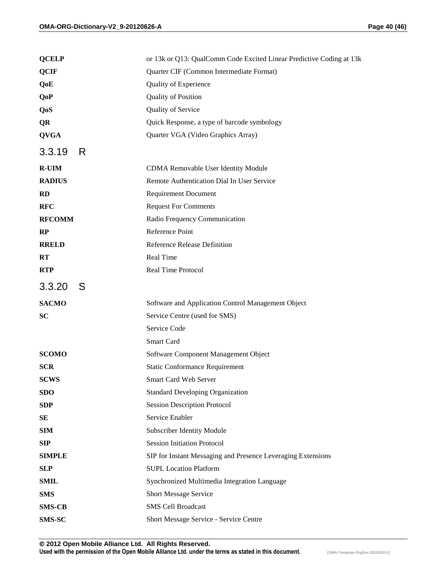| <b>QCELP</b>  | or 13k or Q13: QualComm Code Excited Linear Predictive Coding at 13k |
|---------------|----------------------------------------------------------------------|
| <b>QCIF</b>   | Quarter CIF (Common Intermediate Format)                             |
| QoE           | Quality of Experience                                                |
| <b>QoP</b>    | Quality of Position                                                  |
| QoS           | Quality of Service                                                   |
| <b>QR</b>     | Quick Response, a type of barcode symbology                          |
| <b>QVGA</b>   | Quarter VGA (Video Graphics Array)                                   |
| 3.3.19<br>R.  |                                                                      |
| <b>R-UIM</b>  | CDMA Removable User Identity Module                                  |
| <b>RADIUS</b> | Remote Authentication Dial In User Service                           |
| <b>RD</b>     | <b>Requirement Document</b>                                          |
| <b>RFC</b>    | <b>Request For Comments</b>                                          |
| <b>RFCOMM</b> | Radio Frequency Communication                                        |
| RP            | Reference Point                                                      |
| <b>RRELD</b>  | Reference Release Definition                                         |
| RT            | Real Time                                                            |
| <b>RTP</b>    | Real Time Protocol                                                   |
| 3.3.20<br>S   |                                                                      |
| <b>SACMO</b>  | Software and Application Control Management Object                   |
| <b>SC</b>     | Service Centre (used for SMS)                                        |
|               | Service Code                                                         |
|               | Smart Card                                                           |
| <b>SCOMO</b>  | Software Component Management Object                                 |
| <b>SCR</b>    | <b>Static Conformance Requirement</b>                                |
| <b>SCWS</b>   | Smart Card Web Server                                                |
| <b>SDO</b>    | <b>Standard Developing Organization</b>                              |
| <b>SDP</b>    | <b>Session Description Protocol</b>                                  |
| SЕ            | Service Enabler                                                      |
| <b>SIM</b>    | Subscriber Identity Module                                           |
| <b>SIP</b>    | <b>Session Initiation Protocol</b>                                   |
| <b>SIMPLE</b> | SIP for Instant Messaging and Presence Leveraging Extensions         |
| <b>SLP</b>    | <b>SUPL Location Platform</b>                                        |
| <b>SMIL</b>   | Synchronized Multimedia Integration Language                         |
| <b>SMS</b>    | Short Message Service                                                |
| <b>SMS-CB</b> | <b>SMS Cell Broadcast</b>                                            |
| <b>SMS-SC</b> | Short Message Service - Service Centre                               |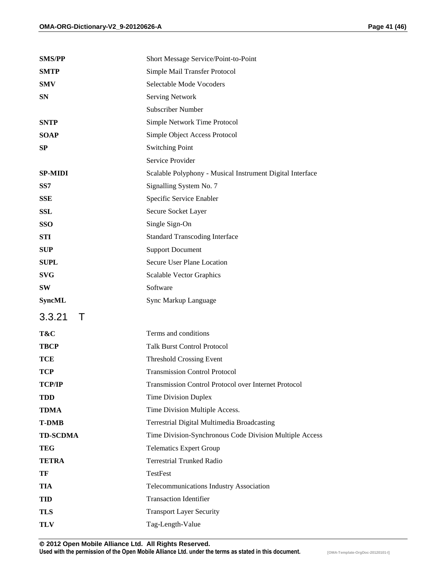| <b>SMS/PP</b>    | Short Message Service/Point-to-Point                      |
|------------------|-----------------------------------------------------------|
| <b>SMTP</b>      | Simple Mail Transfer Protocol                             |
| <b>SMV</b>       | Selectable Mode Vocoders                                  |
| <b>SN</b>        | <b>Serving Network</b>                                    |
|                  | <b>Subscriber Number</b>                                  |
| <b>SNTP</b>      | Simple Network Time Protocol                              |
| <b>SOAP</b>      | Simple Object Access Protocol                             |
| SP               | <b>Switching Point</b>                                    |
|                  | Service Provider                                          |
| <b>SP-MIDI</b>   | Scalable Polyphony - Musical Instrument Digital Interface |
| SS7              | Signalling System No. 7                                   |
| <b>SSE</b>       | Specific Service Enabler                                  |
| <b>SSL</b>       | Secure Socket Layer                                       |
| <b>SSO</b>       | Single Sign-On                                            |
| STI              | <b>Standard Transcoding Interface</b>                     |
| <b>SUP</b>       | <b>Support Document</b>                                   |
| <b>SUPL</b>      | Secure User Plane Location                                |
| <b>SVG</b>       | Scalable Vector Graphics                                  |
| SW               | Software                                                  |
| <b>SyncML</b>    | Sync Markup Language                                      |
| 3.3.21<br>$\top$ |                                                           |
| T&C              | Terms and conditions                                      |
| <b>TBCP</b>      | <b>Talk Burst Control Protocol</b>                        |
| TCE              | <b>Threshold Crossing Event</b>                           |
| <b>TCP</b>       | <b>Transmission Control Protocol</b>                      |
| <b>TCP/IP</b>    | Transmission Control Protocol over Internet Protocol      |
| <b>TDD</b>       | <b>Time Division Duplex</b>                               |
| TDMA             | Time Division Multiple Access.                            |
| <b>T-DMB</b>     | Terrestrial Digital Multimedia Broadcasting               |
| <b>TD-SCDMA</b>  | Time Division-Synchronous Code Division Multiple Access   |
| TEG              | <b>Telematics Expert Group</b>                            |
| <b>TETRA</b>     | <b>Terrestrial Trunked Radio</b>                          |
| TF               | TestFest                                                  |
| <b>TIA</b>       | Telecommunications Industry Association                   |
| TID              | <b>Transaction Identifier</b>                             |
| <b>TLS</b>       | <b>Transport Layer Security</b>                           |
| TLV              | Tag-Length-Value                                          |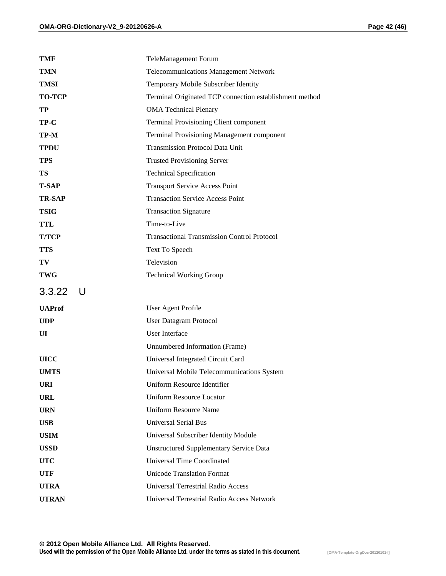| TMF           | <b>TeleManagement Forum</b>                             |
|---------------|---------------------------------------------------------|
| <b>TMN</b>    | <b>Telecommunications Management Network</b>            |
| <b>TMSI</b>   | Temporary Mobile Subscriber Identity                    |
| <b>TO-TCP</b> | Terminal Originated TCP connection establishment method |
| TP            | <b>OMA Technical Plenary</b>                            |
| TP-C          | <b>Terminal Provisioning Client component</b>           |
| TP-M          | Terminal Provisioning Management component              |
| <b>TPDU</b>   | <b>Transmission Protocol Data Unit</b>                  |
| <b>TPS</b>    | <b>Trusted Provisioning Server</b>                      |
| TS            | <b>Technical Specification</b>                          |
| <b>T-SAP</b>  | <b>Transport Service Access Point</b>                   |
| <b>TR-SAP</b> | <b>Transaction Service Access Point</b>                 |
| <b>TSIG</b>   | <b>Transaction Signature</b>                            |
| TTL           | Time-to-Live                                            |
| <b>T/TCP</b>  | <b>Transactional Transmission Control Protocol</b>      |
| <b>TTS</b>    | Text To Speech                                          |
| TV            | Television                                              |
| <b>TWG</b>    | <b>Technical Working Group</b>                          |
| $3.3.22$ U    |                                                         |
| <b>UAProf</b> | User Agent Profile                                      |
| <b>UDP</b>    | <b>User Datagram Protocol</b>                           |
| UI            | <b>User Interface</b>                                   |
|               | Unnumbered Information (Frame)                          |
| <b>UICC</b>   | Universal Integrated Circuit Card                       |
| <b>UMTS</b>   | Universal Mobile Telecommunications System              |
| <b>URI</b>    | <b>Uniform Resource Identifier</b>                      |
| URL           | <b>Uniform Resource Locator</b>                         |
| <b>URN</b>    | <b>Uniform Resource Name</b>                            |
| <b>USB</b>    | <b>Universal Serial Bus</b>                             |
| <b>USIM</b>   | Universal Subscriber Identity Module                    |
| <b>USSD</b>   | <b>Unstructured Supplementary Service Data</b>          |
| <b>UTC</b>    | <b>Universal Time Coordinated</b>                       |
| <b>UTF</b>    | <b>Unicode Translation Format</b>                       |
| <b>UTRA</b>   | <b>Universal Terrestrial Radio Access</b>               |
| <b>UTRAN</b>  | Universal Terrestrial Radio Access Network              |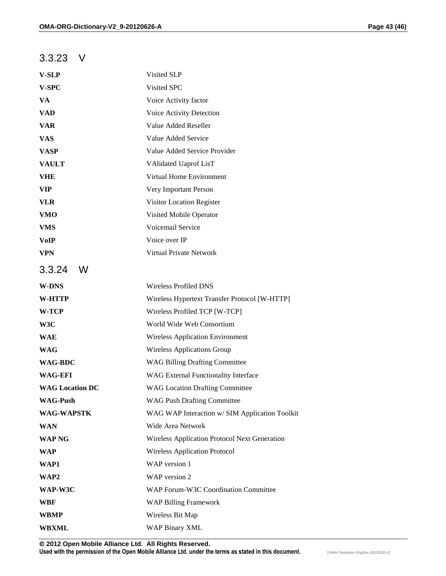#### 3.3.23 V

| <b>V-SLP</b>           | Visited SLP                                    |
|------------------------|------------------------------------------------|
| V-SPC                  | Visited SPC                                    |
| VA                     | Voice Activity factor                          |
| <b>VAD</b>             | Voice Activity Detection                       |
| <b>VAR</b>             | Value Added Reseller                           |
| <b>VAS</b>             | Value Added Service                            |
| <b>VASP</b>            | Value Added Service Provider                   |
| <b>VAULT</b>           | VAlidated Uaprof LisT                          |
| <b>VHE</b>             | Virtual Home Environment                       |
| <b>VIP</b>             | Very Important Person                          |
| <b>VLR</b>             | Visitor Location Register                      |
| <b>VMO</b>             | Visited Mobile Operator                        |
| <b>VMS</b>             | Voicemail Service                              |
| <b>VoIP</b>            | Voice over IP                                  |
| <b>VPN</b>             | Virtual Private Network                        |
| 3.3.24<br>W            |                                                |
| <b>W-DNS</b>           | <b>Wireless Profiled DNS</b>                   |
| W-HTTP                 | Wireless Hypertext Transfer Protocol [W-HTTP]  |
| W-TCP                  | Wireless Profiled TCP [W-TCP]                  |
| W3C                    | World Wide Web Consortium                      |
| <b>WAE</b>             | <b>Wireless Application Environment</b>        |
| <b>WAG</b>             | <b>Wireless Applications Group</b>             |
| <b>WAG-BDC</b>         | <b>WAG Billing Drafting Committee</b>          |
| <b>WAG-EFI</b>         | <b>WAG External Functionality Interface</b>    |
| <b>WAG Location DC</b> | <b>WAG Location Drafting Committee</b>         |
| <b>WAG-Push</b>        | <b>WAG Push Drafting Committee</b>             |
| <b>WAG-WAPSTK</b>      | WAG WAP Interaction w/ SIM Application Toolkit |
| <b>WAN</b>             | Wide Area Network                              |
| <b>WAP NG</b>          | Wireless Application Protocol Next Generation  |
| <b>WAP</b>             | <b>Wireless Application Protocol</b>           |
| WAP1                   | WAP version 1                                  |
| WAP2                   | WAP version 2                                  |
| WAP-W3C                | WAP Forum-W3C Coordination Committee           |
| WBF                    | <b>WAP Billing Framework</b>                   |
| <b>WBMP</b>            | Wireless Bit Map                               |
| <b>WBXML</b>           | <b>WAP Binary XML</b>                          |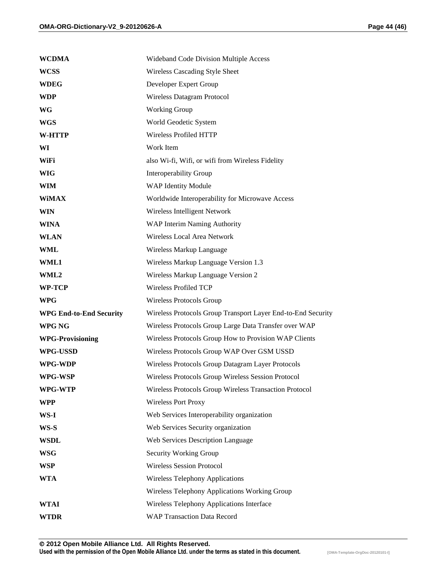| <b>WCDMA</b>                   | Wideband Code Division Multiple Access                       |
|--------------------------------|--------------------------------------------------------------|
| <b>WCSS</b>                    | Wireless Cascading Style Sheet                               |
| <b>WDEG</b>                    | Developer Expert Group                                       |
| <b>WDP</b>                     | <b>Wireless Datagram Protocol</b>                            |
| <b>WG</b>                      | <b>Working Group</b>                                         |
| <b>WGS</b>                     | World Geodetic System                                        |
| <b>W-HTTP</b>                  | Wireless Profiled HTTP                                       |
| WI                             | Work Item                                                    |
| WiFi                           | also Wi-fi, Wifi, or wifi from Wireless Fidelity             |
| <b>WIG</b>                     | <b>Interoperability Group</b>                                |
| <b>WIM</b>                     | <b>WAP Identity Module</b>                                   |
| <b>WiMAX</b>                   | Worldwide Interoperability for Microwave Access              |
| <b>WIN</b>                     | Wireless Intelligent Network                                 |
| <b>WINA</b>                    | WAP Interim Naming Authority                                 |
| <b>WLAN</b>                    | Wireless Local Area Network                                  |
| <b>WML</b>                     | Wireless Markup Language                                     |
| <b>WML1</b>                    | Wireless Markup Language Version 1.3                         |
| WML2                           | Wireless Markup Language Version 2                           |
| WP-TCP                         | <b>Wireless Profiled TCP</b>                                 |
| <b>WPG</b>                     | Wireless Protocols Group                                     |
| <b>WPG End-to-End Security</b> | Wireless Protocols Group Transport Layer End-to-End Security |
| WPG NG                         | Wireless Protocols Group Large Data Transfer over WAP        |
| <b>WPG-Provisioning</b>        | Wireless Protocols Group How to Provision WAP Clients        |
| <b>WPG-USSD</b>                | Wireless Protocols Group WAP Over GSM USSD                   |
| WPG-WDP                        | Wireless Protocols Group Datagram Layer Protocols            |
| WPG-WSP                        | Wireless Protocols Group Wireless Session Protocol           |
| WPG-WTP                        | Wireless Protocols Group Wireless Transaction Protocol       |
| <b>WPP</b>                     | <b>Wireless Port Proxy</b>                                   |
| WS-I                           | Web Services Interoperability organization                   |
| WS-S                           | Web Services Security organization                           |
| <b>WSDL</b>                    | Web Services Description Language                            |
| <b>WSG</b>                     | Security Working Group                                       |
| <b>WSP</b>                     | <b>Wireless Session Protocol</b>                             |
| <b>WTA</b>                     | <b>Wireless Telephony Applications</b>                       |
|                                | Wireless Telephony Applications Working Group                |
| <b>WTAI</b>                    | Wireless Telephony Applications Interface                    |
| <b>WTDR</b>                    | <b>WAP Transaction Data Record</b>                           |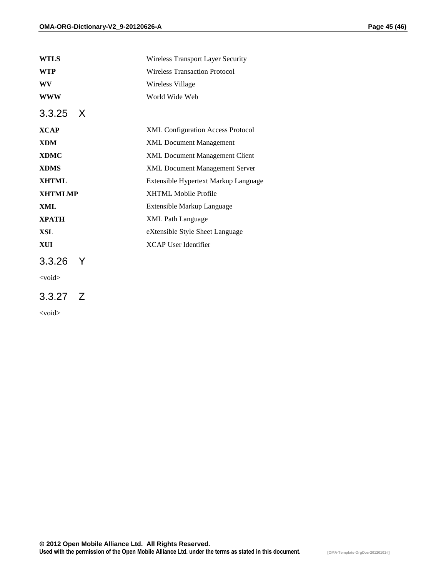| <b>WTLS</b>      | Wireless Transport Layer Security        |
|------------------|------------------------------------------|
| <b>WTP</b>       | <b>Wireless Transaction Protocol</b>     |
| <b>WV</b>        | Wireless Village                         |
| WWW              | World Wide Web                           |
| $3.3.25 \quad X$ |                                          |
| <b>XCAP</b>      | <b>XML Configuration Access Protocol</b> |
| <b>XDM</b>       | <b>XML Document Management</b>           |
| <b>XDMC</b>      | <b>XML Document Management Client</b>    |
| <b>XDMS</b>      | <b>XML Document Management Server</b>    |
| <b>XHTML</b>     | Extensible Hypertext Markup Language     |
| <b>XHTMLMP</b>   | <b>XHTML Mobile Profile</b>              |
| <b>XML</b>       | Extensible Markup Language               |
| <b>XPATH</b>     | <b>XML</b> Path Language                 |
| <b>XSL</b>       | eXtensible Style Sheet Language          |
| XUI              | <b>XCAP User Identifier</b>              |
| $3.3.26$ Y       |                                          |
| $<$ void $>$     |                                          |
| $3.3.27 \quad Z$ |                                          |

<void>